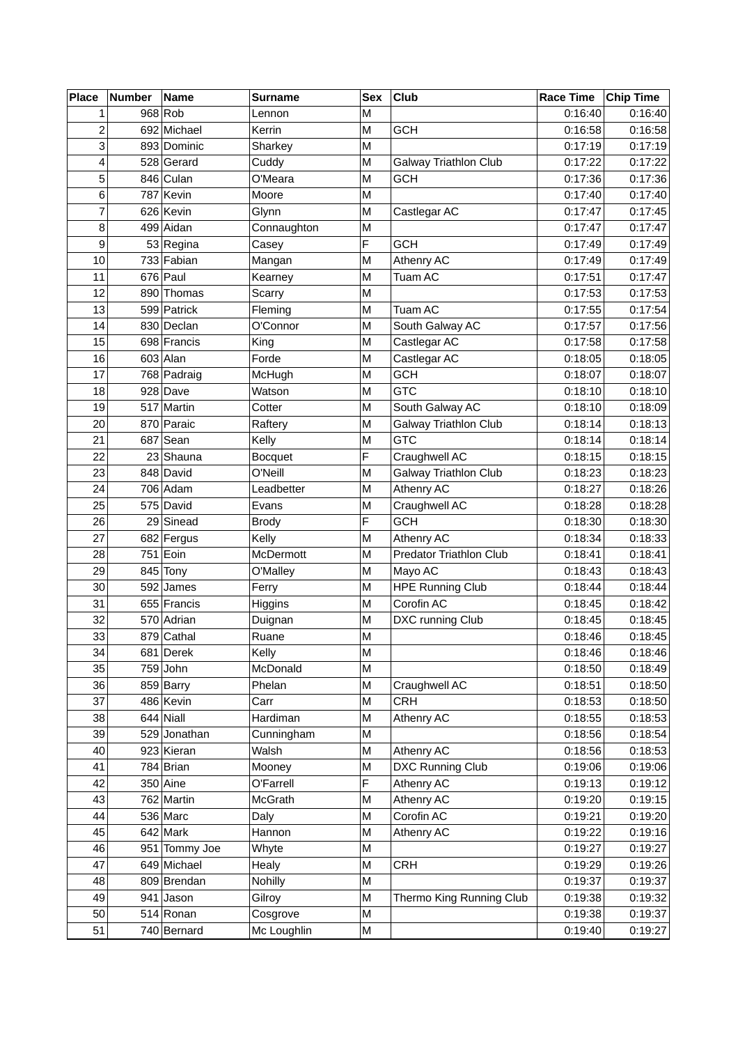| <b>Place</b>   | <b>Number</b> | <b>Name</b>                  | Surname        | <b>Sex</b> | Club                           | <b>Race Time</b>   | Chip Time          |
|----------------|---------------|------------------------------|----------------|------------|--------------------------------|--------------------|--------------------|
| 1              |               | 968 Rob                      | Lennon         | M          |                                | 0:16:40            | 0:16:40            |
| $\overline{c}$ |               | 692 Michael                  | Kerrin         | M          | <b>GCH</b>                     | 0:16:58            | 0:16:58            |
| 3              |               | 893 Dominic                  | Sharkey        | M          |                                | 0:17:19            | 0:17:19            |
| 4              |               | 528 Gerard                   | Cuddy          | М          | Galway Triathlon Club          | 0:17:22            | 0:17:22            |
| 5              |               | 846 Culan                    | O'Meara        | M          | <b>GCH</b>                     | 0:17:36            | 0:17:36            |
| 6              |               | 787 Kevin                    | Moore          | M          |                                | 0:17:40            | 0:17:40            |
| 7              |               | 626 Kevin                    | Glynn          | M          | Castlegar AC                   | 0:17:47            | 0:17:45            |
| 8              |               | 499 Aidan                    | Connaughton    | M          |                                | 0:17:47            | 0:17:47            |
| 9              |               | 53 Regina                    | Casey          | F          | <b>GCH</b>                     | 0:17:49            | 0:17:49            |
| 10             |               | 733 Fabian                   | Mangan         | M          | Athenry AC                     | 0:17:49            | 0:17:49            |
| 11             |               | $676$ Paul                   | Kearney        | M          | Tuam AC                        | 0:17:51            | 0:17:47            |
| 12             |               | 890 Thomas                   | Scarry         | M          |                                | 0:17:53            | 0:17:53            |
| 13             |               | 599 Patrick                  | Fleming        | M          | Tuam AC                        | 0:17:55            | 0:17:54            |
| 14             |               | 830 Declan                   | O'Connor       | М          | South Galway AC                | 0:17:57            | 0:17:56            |
| 15             |               | 698 Francis                  | King           | M          | Castlegar AC                   | 0:17:58            | 0:17:58            |
| 16             |               | $603$ Alan                   | Forde          | M          | Castlegar AC                   | 0:18:05            | 0:18:05            |
| 17             |               | 768 Padraig                  | McHugh         | M          | <b>GCH</b>                     | 0:18:07            | 0:18:07            |
| 18             |               | $928$ Dave                   | Watson         | M          | <b>GTC</b>                     | 0:18:10            | 0:18:10            |
| 19             |               | 517 Martin                   | Cotter         | M          | South Galway AC                | 0:18:10            | 0:18:09            |
| 20             |               | 870 Paraic                   | Raftery        | M          | <b>Galway Triathlon Club</b>   | 0:18:14            | 0:18:13            |
| 21             |               | $687$ Sean                   | Kelly          | M          | <b>GTC</b>                     | 0:18:14            | 0:18:14            |
| 22             |               | 23 Shauna                    | <b>Bocquet</b> | F          | Craughwell AC                  | 0:18:15            | 0:18:15            |
| 23             |               | 848 David                    | O'Neill        | М          | Galway Triathlon Club          | 0:18:23            | 0:18:23            |
| 24             |               | $706$ Adam                   | Leadbetter     | M          | Athenry AC                     | 0:18:27            | 0:18:26            |
| 25             |               | 575 David                    | Evans          | M          | Craughwell AC                  | 0:18:28            | 0:18:28            |
| 26             |               | 29 Sinead                    | <b>Brody</b>   | F          | <b>GCH</b>                     | 0:18:30            | 0:18:30            |
| 27             |               | 682 Fergus                   | Kelly          | M          | Athenry AC                     | 0:18:34            | 0:18:33            |
| 28             |               | 751 Eoin                     | McDermott      | M          | <b>Predator Triathlon Club</b> | 0:18:41            | 0:18:41            |
| 29             |               | 845 Tony                     | O'Malley       | M          | Mayo AC                        | 0:18:43            | 0:18:43            |
| 30             |               | $592$ James                  | Ferry          | M          | <b>HPE Running Club</b>        | 0:18:44            | 0:18:44            |
| 31             |               | 655 Francis                  | Higgins        | M          | Corofin AC                     | 0:18:45            | 0:18:42            |
| 32             |               | 570 Adrian                   | Duignan        | M          | DXC running Club               | 0:18:45            | 0:18:45            |
| 33             |               | 879 Cathal                   | Ruane          | M          |                                | 0:18:46            | 0:18:45            |
| 34             |               | 681 Derek                    | Kelly          | M          |                                | 0:18:46            | 0:18:46            |
| 35             |               | $759$ John                   | McDonald       | M          |                                | 0:18:50            | 0:18:49            |
| 36             |               | 859 Barry                    | Phelan         | M          | Craughwell AC                  | 0:18:51            | 0:18:50            |
| 37             |               | 486 Kevin                    | Carr           | M          | <b>CRH</b>                     | 0:18:53            | 0:18:50            |
| 38             |               | $644$ Niall                  | Hardiman       | M          | Athenry AC                     | 0:18:55            | 0:18:53            |
| 39             |               | 529 Jonathan                 | Cunningham     | M          |                                | 0:18:56            | 0:18:54            |
| 40             |               | 923 Kieran                   | Walsh          | M          | Athenry AC                     | 0:18:56            | 0:18:53            |
| 41             |               | 784 Brian                    | Mooney         | M          | <b>DXC Running Club</b>        | 0:19:06            | 0:19:06            |
| 42             |               | $350$ Aine                   | O'Farrell      | F          | Athenry AC                     | 0:19:13            | 0:19:12            |
| 43             |               | 762 Martin                   | McGrath        | M          | Athenry AC                     | 0:19:20            | 0:19:15            |
| 44             |               | $536$ Marc                   | Daly           | M          | Corofin AC                     | 0:19:21            | 0:19:20            |
| 45             |               | $642$ Mark                   | Hannon         | M          | Athenry AC                     | 0:19:22            | 0:19:16            |
| 46             |               |                              |                | M          |                                |                    |                    |
| 47             |               | 951 Tommy Joe<br>649 Michael | Whyte<br>Healy | M          | <b>CRH</b>                     | 0:19:27<br>0:19:29 | 0:19:27<br>0:19:26 |
| 48             |               | 809 Brendan                  | Nohilly        | M          |                                | 0:19:37            | 0:19:37            |
| 49             |               |                              | Gilroy         | M          | Thermo King Running Club       |                    | 0:19:32            |
|                |               | $941$ Jason                  |                |            |                                | 0:19:38            |                    |
| 50             |               | $514$ Ronan                  | Cosgrove       | M          |                                | 0:19:38            | 0:19:37            |
| 51             |               | 740 Bernard                  | Mc Loughlin    | M          |                                | 0:19:40            | 0:19:27            |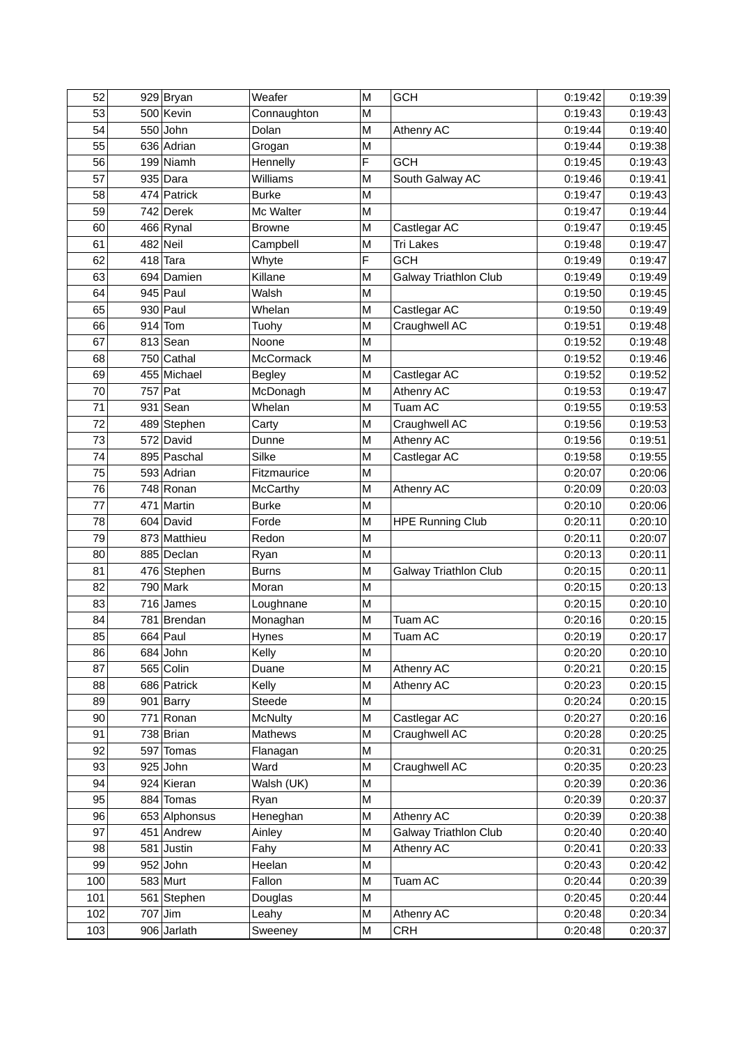| 52  | $929$ Bryan   | Weafer           | M | <b>GCH</b>                   | 0:19:42 | 0:19:39 |
|-----|---------------|------------------|---|------------------------------|---------|---------|
| 53  | 500 Kevin     | Connaughton      | M |                              | 0:19:43 | 0:19:43 |
| 54  | $550$ John    | Dolan            | M | Athenry AC                   | 0:19:44 | 0:19:40 |
| 55  | 636 Adrian    | Grogan           | M |                              | 0:19:44 | 0:19:38 |
| 56  | 199 Niamh     | Hennelly         | F | <b>GCH</b>                   | 0:19:45 | 0:19:43 |
| 57  | $935$ Dara    | Williams         | M | South Galway AC              | 0:19:46 | 0:19:41 |
| 58  | 474 Patrick   | <b>Burke</b>     | M |                              | 0:19:47 | 0:19:43 |
| 59  | 742 Derek     | Mc Walter        | M |                              | 0:19:47 | 0:19:44 |
| 60  | $466$ Rynal   | <b>Browne</b>    | M | Castlegar AC                 | 0:19:47 | 0:19:45 |
| 61  | $482$ Neil    | Campbell         | M | <b>Tri Lakes</b>             | 0:19:48 | 0:19:47 |
| 62  | $418$ Tara    | Whyte            | F | <b>GCH</b>                   | 0:19:49 | 0:19:47 |
| 63  | 694 Damien    | Killane          | М | <b>Galway Triathlon Club</b> | 0:19:49 | 0:19:49 |
| 64  | $945$ Paul    | Walsh            | M |                              | 0:19:50 | 0:19:45 |
| 65  | $930$ Paul    | Whelan           | M | Castlegar AC                 | 0:19:50 | 0:19:49 |
| 66  | $914$ Tom     | Tuohy            | M | Craughwell AC                | 0:19:51 | 0:19:48 |
| 67  | $813$ Sean    | Noone            | M |                              | 0:19:52 | 0:19:48 |
| 68  | 750 Cathal    | <b>McCormack</b> | M |                              | 0:19:52 | 0:19:46 |
| 69  | 455 Michael   | <b>Begley</b>    | M | Castlegar AC                 | 0:19:52 | 0:19:52 |
| 70  | 757 Pat       | McDonagh         | M | Athenry AC                   | 0:19:53 | 0:19:47 |
| 71  | $931$ Sean    | Whelan           | M | Tuam AC                      | 0:19:55 | 0:19:53 |
| 72  | 489 Stephen   | Carty            | M | Craughwell AC                | 0:19:56 | 0:19:53 |
| 73  | 572 David     | Dunne            | M | Athenry AC                   | 0:19:56 | 0:19:51 |
| 74  | 895 Paschal   | Silke            | M | Castlegar AC                 | 0:19:58 | 0:19:55 |
| 75  | 593 Adrian    | Fitzmaurice      | M |                              | 0:20:07 | 0:20:06 |
| 76  | 748 Ronan     | McCarthy         | M | Athenry AC                   | 0:20:09 | 0:20:03 |
| 77  | 471 Martin    | <b>Burke</b>     | M |                              | 0:20:10 | 0:20:06 |
| 78  | 604 David     | Forde            | M | <b>HPE Running Club</b>      | 0:20:11 | 0:20:10 |
| 79  | 873 Matthieu  | Redon            | M |                              | 0:20:11 | 0:20:07 |
| 80  | 885 Declan    | Ryan             | M |                              | 0:20:13 | 0:20:11 |
| 81  | 476 Stephen   | <b>Burns</b>     | М | <b>Galway Triathlon Club</b> | 0:20:15 | 0:20:11 |
| 82  | $790$ Mark    | Moran            | M |                              | 0:20:15 | 0:20:13 |
| 83  | $716$ James   | Loughnane        | M |                              | 0:20:15 | 0:20:10 |
| 84  | 781 Brendan   | Monaghan         | M | Tuam AC                      | 0:20:16 | 0:20:15 |
| 85  | $664$ Paul    | Hynes            | М | Tuam AC                      | 0:20:19 | 0:20:17 |
| 86  | $684$ John    | Kelly            | M |                              | 0:20:20 | 0:20:10 |
| 87  | $565$ Colin   | Duane            | M | Athenry AC                   | 0:20:21 | 0:20:15 |
| 88  | 686 Patrick   | Kelly            | M | Athenry AC                   | 0:20:23 | 0:20:15 |
| 89  | $901$ Barry   | Steede           | M |                              | 0:20:24 | 0:20:15 |
| 90  | $771$ Ronan   | <b>McNulty</b>   | M | Castlegar AC                 | 0:20:27 | 0:20:16 |
| 91  | $738$ Brian   | Mathews          | M | Craughwell AC                | 0:20:28 | 0:20:25 |
| 92  | 597 Tomas     | Flanagan         | M |                              | 0:20:31 | 0:20:25 |
| 93  | $925$ John    | Ward             | M | Craughwell AC                | 0:20:35 | 0:20:23 |
| 94  | 924 Kieran    | Walsh (UK)       | M |                              | 0:20:39 | 0:20:36 |
| 95  | 884 Tomas     | Ryan             | M |                              | 0:20:39 | 0:20:37 |
| 96  | 653 Alphonsus | Heneghan         | M | Athenry AC                   | 0:20:39 | 0:20:38 |
| 97  | 451 Andrew    | Ainley           | M | <b>Galway Triathlon Club</b> | 0:20:40 | 0:20:40 |
| 98  | $581$ Justin  | Fahy             | M | Athenry AC                   | 0:20:41 | 0:20:33 |
| 99  | $952$ John    | Heelan           | M |                              | 0:20:43 | 0:20:42 |
| 100 | 583 Murt      | Fallon           | M | Tuam AC                      | 0:20:44 | 0:20:39 |
| 101 | 561 Stephen   | Douglas          | M |                              | 0:20:45 | 0:20:44 |
| 102 | $707$ Jim     | Leahy            | M | Athenry AC                   | 0:20:48 | 0:20:34 |
| 103 | 906 Jarlath   | Sweeney          | М | <b>CRH</b>                   | 0:20:48 | 0:20:37 |
|     |               |                  |   |                              |         |         |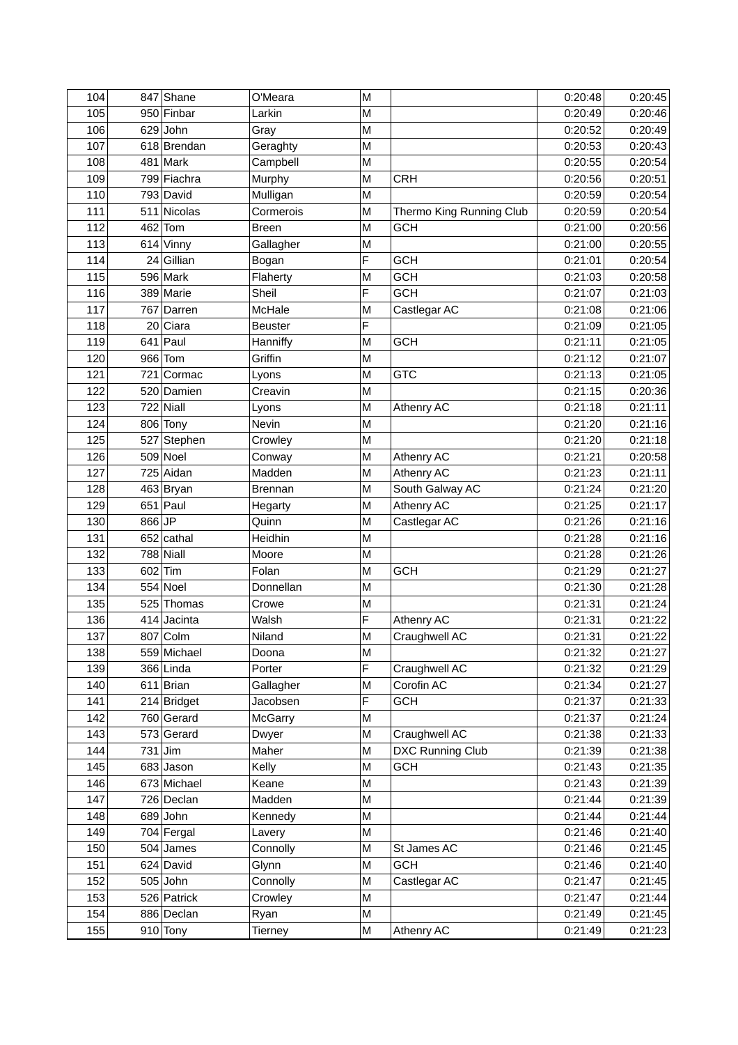| 104 |        | 847 Shane     | O'Meara            | M |                          | 0:20:48 | 0:20:45 |
|-----|--------|---------------|--------------------|---|--------------------------|---------|---------|
| 105 |        | 950 Finbar    | Larkin             | M |                          | 0:20:49 | 0:20:46 |
| 106 |        | $629$ John    | Gray               | M |                          | 0:20:52 | 0:20:49 |
| 107 |        | 618 Brendan   | Geraghty           | M |                          | 0:20:53 | 0:20:43 |
| 108 |        | $481$ Mark    | Campbell           | M |                          | 0:20:55 | 0:20:54 |
| 109 |        | 799 Fiachra   | Murphy             | M | <b>CRH</b>               | 0:20:56 | 0:20:51 |
| 110 |        | 793 David     | Mulligan           | M |                          | 0:20:59 | 0:20:54 |
| 111 |        | 511 Nicolas   | Cormerois          | M | Thermo King Running Club | 0:20:59 | 0:20:54 |
| 112 | 462    | Tom           | <b>Breen</b>       | M | <b>GCH</b>               | 0:21:00 | 0:20:56 |
| 113 |        | $614$ Vinny   | Gallagher          | M |                          | 0:21:00 | 0:20:55 |
| 114 |        | $24$ Gillian  | Bogan              | F | <b>GCH</b>               | 0:21:01 | 0:20:54 |
| 115 |        | $596$ Mark    | Flaherty           | M | <b>GCH</b>               | 0:21:03 | 0:20:58 |
| 116 |        | 389 Marie     | Sheil              | F | <b>GCH</b>               | 0:21:07 | 0:21:03 |
| 117 |        | 767 Darren    | McHale             | М | Castlegar AC             | 0:21:08 | 0:21:06 |
| 118 |        | 20 Ciara      | <b>Beuster</b>     | F |                          | 0:21:09 | 0:21:05 |
| 119 |        | $641$ Paul    | Hanniffy           | M | <b>GCH</b>               | 0:21:11 | 0:21:05 |
| 120 |        | 966 Tom       | Griffin            | M |                          | 0:21:12 | 0:21:07 |
| 121 |        | 721 Cormac    | Lyons              | M | <b>GTC</b>               | 0:21:13 | 0:21:05 |
| 122 |        | 520 Damien    | Creavin            | M |                          | 0:21:15 | 0:20:36 |
| 123 |        | $722$ Niall   | Lyons              | M | Athenry AC               | 0:21:18 | 0:21:11 |
| 124 |        | 806 Tony      | Nevin              | M |                          | 0:21:20 | 0:21:16 |
| 125 |        | 527 Stephen   | Crowley            | M |                          | 0:21:20 | 0:21:18 |
| 126 |        | $509$ Noel    | Conway             | M | Athenry AC               | 0:21:21 | 0:20:58 |
| 127 |        | 725 Aidan     | Madden             | M | Athenry AC               | 0:21:23 | 0:21:11 |
| 128 |        | 463 Bryan     | <b>Brennan</b>     | М | South Galway AC          | 0:21:24 | 0:21:20 |
| 129 |        | $651$ Paul    | Hegarty            | M | Athenry AC               | 0:21:25 | 0:21:17 |
| 130 | 866 JP |               | Quinn              | M | Castlegar AC             | 0:21:26 | 0:21:16 |
| 131 |        | $652$ cathal  | Heidhin            | M |                          | 0:21:28 | 0:21:16 |
| 132 |        | $788$ Niall   | Moore              | M |                          | 0:21:28 | 0:21:26 |
| 133 |        | $602$ Tim     | Folan              | M | <b>GCH</b>               | 0:21:29 | 0:21:27 |
| 134 |        | $554$ Noel    | Donnellan          | M |                          | 0:21:30 | 0:21:28 |
| 135 |        | 525 Thomas    | Crowe              | M |                          | 0:21:31 | 0:21:24 |
| 136 |        | $414$ Jacinta | Walsh              | F | Athenry AC               | 0:21:31 | 0:21:22 |
| 137 |        | 807 Colm      | Niland             | M | Craughwell AC            | 0:21:31 | 0:21:22 |
| 138 |        | 559 Michael   | Doona              | M |                          | 0:21:32 | 0:21:27 |
| 139 |        | 366 Linda     | Porter             | F | Craughwell AC            | 0:21:32 | 0:21:29 |
| 140 |        | $611$ Brian   | Gallagher          | M | Corofin AC               | 0:21:34 | 0:21:27 |
| 141 |        | 214 Bridget   | Jacobsen           | F | <b>GCH</b>               | 0:21:37 | 0:21:33 |
| 142 |        | 760 Gerard    | <b>McGarry</b>     | M |                          | 0:21:37 | 0:21:24 |
| 143 |        | 573 Gerard    | Dwyer              | Μ | Craughwell AC            | 0:21:38 | 0:21:33 |
| 144 |        | $731$ Jim     | Maher              | M | <b>DXC Running Club</b>  | 0:21:39 | 0:21:38 |
| 145 |        | $683$ Jason   | Kelly              | М | <b>GCH</b>               | 0:21:43 | 0:21:35 |
| 146 |        | 673 Michael   | Keane              | Μ |                          | 0:21:43 | 0:21:39 |
| 147 |        | 726 Declan    | Madden             | Μ |                          | 0:21:44 | 0:21:39 |
| 148 |        | $689$ John    | Kennedy            | М |                          | 0:21:44 | 0:21:44 |
| 149 |        | 704 Fergal    |                    | M |                          | 0:21:46 | 0:21:40 |
| 150 |        | $504$ James   | Lavery<br>Connolly | M | St James AC              | 0:21:46 | 0:21:45 |
| 151 |        | $624$ David   | Glynn              | M | <b>GCH</b>               | 0:21:46 | 0:21:40 |
| 152 |        | $505$ John    | Connolly           | M | Castlegar AC             | 0:21:47 | 0:21:45 |
| 153 |        | 526 Patrick   | Crowley            | M |                          | 0:21:47 | 0:21:44 |
| 154 |        | 886 Declan    |                    | Μ |                          | 0:21:49 | 0:21:45 |
|     |        |               | Ryan               |   |                          |         |         |
| 155 |        | $910$ Tony    | Tierney            | Μ | Athenry AC               | 0:21:49 | 0:21:23 |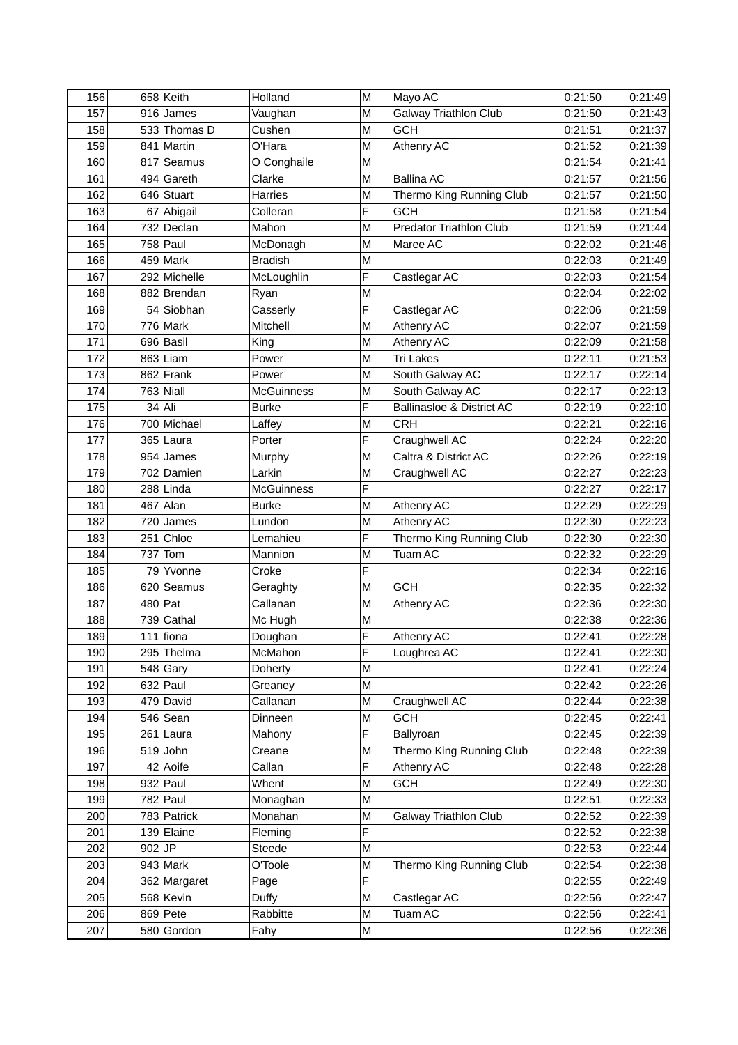| 156 |          | $658$ Keith              | Holland             | M      | Mayo AC                              | 0:21:50            | 0:21:49            |
|-----|----------|--------------------------|---------------------|--------|--------------------------------------|--------------------|--------------------|
| 157 |          | $916$ James              | Vaughan             | M      | Galway Triathlon Club                | 0:21:50            | 0:21:43            |
| 158 |          | 533 Thomas D             | Cushen              | М      | <b>GCH</b>                           | 0:21:51            | 0:21:37            |
| 159 |          | 841 Martin               | O'Hara              | M      | Athenry AC                           | 0:21:52            | 0:21:39            |
| 160 |          | 817 Seamus               | O Conghaile         | M      |                                      | 0:21:54            | 0:21:41            |
| 161 |          | 494 Gareth               | Clarke              | M      | <b>Ballina AC</b>                    | 0:21:57            | 0:21:56            |
| 162 |          | 646 Stuart               | Harries             | M      | Thermo King Running Club             | 0:21:57            | 0:21:50            |
| 163 |          | 67 Abigail               | Colleran            | F      | <b>GCH</b>                           | 0:21:58            | 0:21:54            |
| 164 |          | 732 Declan               | Mahon               | M      | <b>Predator Triathlon Club</b>       | 0:21:59            | 0:21:44            |
| 165 |          | $758$ Paul               | McDonagh            | M      | Maree AC                             | 0:22:02            | 0:21:46            |
| 166 |          | $459$ Mark               | <b>Bradish</b>      | M      |                                      | 0:22:03            | 0:21:49            |
| 167 |          | 292 Michelle             | McLoughlin          | F      | Castlegar AC                         | 0:22:03            | 0:21:54            |
| 168 |          | 882 Brendan              | Ryan                | M      |                                      | 0:22:04            | 0:22:02            |
| 169 |          | 54 Siobhan               | Casserly            | F      | Castlegar AC                         | 0:22:06            | 0:21:59            |
| 170 |          | $776$ Mark               | Mitchell            | М      | Athenry AC                           | 0:22:07            | 0:21:59            |
| 171 |          | 696 Basil                | King                | M      | Athenry AC                           | 0:22:09            | 0:21:58            |
| 172 |          | $863$ Liam               | Power               | M      | <b>Tri Lakes</b>                     | 0:22:11            | 0:21:53            |
| 173 |          | $862$ Frank              | Power               | M      | South Galway AC                      | 0:22:17            | 0:22:14            |
| 174 |          | $763$ Niall              | <b>McGuinness</b>   | M      | South Galway AC                      | 0:22:17            | 0:22:13            |
| 175 |          | $34$ Ali                 | <b>Burke</b>        | F      | <b>Ballinasloe &amp; District AC</b> | 0:22:19            | 0:22:10            |
| 176 |          | 700 Michael              | Laffey              | M      | <b>CRH</b>                           | 0:22:21            | 0:22:16            |
| 177 |          | $365$ Laura              | Porter              | F      | Craughwell AC                        | 0:22:24            | 0:22:20            |
| 178 |          | $954$ James              | Murphy              | М      | Caltra & District AC                 | 0:22:26            | 0:22:19            |
| 179 |          | 702 Damien               | Larkin              | М      | Craughwell AC                        | 0:22:27            | 0:22:23            |
| 180 |          | $288$ Linda              | <b>McGuinness</b>   | F      |                                      | 0:22:27            | 0:22:17            |
| 181 |          | $467$ Alan               | <b>Burke</b>        | M      | Athenry AC                           | 0:22:29            | 0:22:29            |
| 182 |          | $720$ James              | Lundon              | M      | Athenry AC                           | 0:22:30            | 0:22:23            |
| 183 |          | 251 Chloe                | Lemahieu            | F      | Thermo King Running Club             | 0:22:30            | 0:22:30            |
| 184 | 737      | Tom                      | Mannion             | M      | Tuam AC                              | 0:22:32            | 0:22:29            |
| 185 |          | 79 Yvonne                | Croke               | F      |                                      | 0:22:34            | 0:22:16            |
| 186 |          | 620 Seamus               |                     | M      | <b>GCH</b>                           | 0:22:35            | 0:22:32            |
| 187 |          | $480$ Pat                | Geraghty            | M      | Athenry AC                           | 0:22:36            | 0:22:30            |
| 188 |          | $739$ Cathal             | Callanan<br>Mc Hugh | M      |                                      | 0:22:38            | 0:22:36            |
| 189 |          | $111$ fiona              |                     | F      | Athenry AC                           | 0:22:41            | 0:22:28            |
| 190 |          | 295 Thelma               | Doughan<br>McMahon  | F      |                                      | 0:22:41            | 0:22:30            |
| 191 |          |                          |                     | M      | Loughrea AC                          | 0:22:41            | 0:22:24            |
| 192 |          | $548$ Gary<br>$632$ Paul | Doherty             |        |                                      |                    |                    |
| 193 |          | 479 David                | Greaney<br>Callanan | M<br>Μ | Craughwell AC                        | 0:22:42<br>0:22:44 | 0:22:26<br>0:22:38 |
|     |          |                          |                     |        |                                      |                    | 0:22:41            |
| 194 |          | $546$ Sean               | Dinneen             | M      | <b>GCH</b>                           | 0:22:45            |                    |
| 195 |          | $261$   Laura            | Mahony              | F      | Ballyroan                            | 0:22:45            | 0:22:39            |
| 196 |          | $519$ John               | Creane              | M      | Thermo King Running Club             | 0:22:48            | 0:22:39            |
| 197 |          | $42$ Aoife               | Callan              | F      | Athenry AC                           | 0:22:48            | 0:22:28            |
| 198 |          | $932$ Paul               | Whent               | M      | <b>GCH</b>                           | 0:22:49            | 0:22:30            |
| 199 |          | $782$ Paul               | Monaghan            | M      |                                      | 0:22:51            | 0:22:33            |
| 200 |          | 783 Patrick              | Monahan             | M      | <b>Galway Triathlon Club</b>         | 0:22:52            | 0:22:39            |
| 201 |          | 139 Elaine               | Fleming             | F      |                                      | 0:22:52            | 0:22:38            |
| 202 | $902$ JP |                          | Steede              | M      |                                      | 0:22:53            | 0:22:44            |
| 203 |          | $943$ Mark               | O'Toole             | M      | Thermo King Running Club             | 0:22:54            | 0:22:38            |
| 204 |          | 362 Margaret             | Page                | F      |                                      | 0:22:55            | 0:22:49            |
| 205 |          | 568 Kevin                | Duffy               | M      | Castlegar AC                         | 0:22:56            | 0:22:47            |
| 206 |          | 869 Pete                 | Rabbitte            | M      | Tuam AC                              | 0:22:56            | 0:22:41            |
| 207 |          | 580 Gordon               | Fahy                | Μ      |                                      | 0:22:56            | 0:22:36            |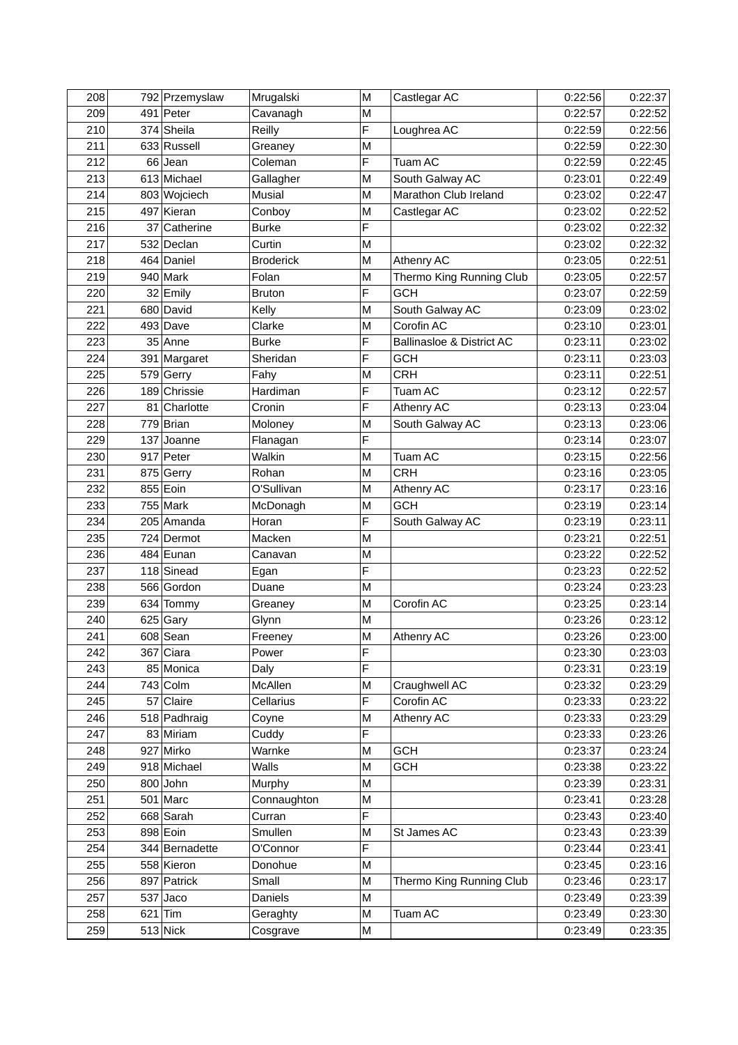| 208 |    | 792 Przemyslaw | Mrugalski        | M | Castlegar AC              | 0:22:56 | 0:22:37 |
|-----|----|----------------|------------------|---|---------------------------|---------|---------|
| 209 |    | $491$ Peter    | Cavanagh         | M |                           | 0:22:57 | 0:22:52 |
| 210 |    | 374 Sheila     | Reilly           | F | Loughrea AC               | 0:22:59 | 0:22:56 |
| 211 |    | 633 Russell    | Greaney          | M |                           | 0:22:59 | 0:22:30 |
| 212 |    | $66$ Jean      | Coleman          | F | Tuam AC                   | 0:22:59 | 0:22:45 |
| 213 |    | 613 Michael    | Gallagher        | M | South Galway AC           | 0:23:01 | 0:22:49 |
| 214 |    | 803 Wojciech   | Musial           | M | Marathon Club Ireland     | 0:23:02 | 0:22:47 |
| 215 |    | 497 Kieran     | Conboy           | M | Castlegar AC              | 0:23:02 | 0:22:52 |
| 216 | 37 | Catherine      | <b>Burke</b>     | F |                           | 0:23:02 | 0:22:32 |
| 217 |    | 532 Declan     | Curtin           | M |                           | 0:23:02 | 0:22:32 |
| 218 |    | 464 Daniel     | <b>Broderick</b> | M | Athenry AC                | 0:23:05 | 0:22:51 |
| 219 |    | $940$ Mark     | Folan            | M | Thermo King Running Club  | 0:23:05 | 0:22:57 |
| 220 |    | 32 Emily       | <b>Bruton</b>    | F | <b>GCH</b>                | 0:23:07 | 0:22:59 |
| 221 |    | 680 David      | Kelly            | M | South Galway AC           | 0:23:09 | 0:23:02 |
| 222 |    | $493$ Dave     | Clarke           | М | Corofin AC                | 0:23:10 | 0:23:01 |
| 223 |    | $35$ Anne      | <b>Burke</b>     | F | Ballinasloe & District AC | 0:23:11 | 0:23:02 |
| 224 |    | 391 Margaret   | Sheridan         | F | <b>GCH</b>                | 0:23:11 | 0:23:03 |
| 225 |    | 579 Gerry      | Fahy             | M | <b>CRH</b>                | 0:23:11 | 0:22:51 |
| 226 |    | 189 Chrissie   | Hardiman         | F | Tuam AC                   | 0:23:12 | 0:22:57 |
| 227 |    | 81 Charlotte   | Cronin           | F | Athenry AC                | 0:23:13 | 0:23:04 |
| 228 |    | $779$ Brian    | Moloney          | M | South Galway AC           | 0:23:13 | 0:23:06 |
| 229 |    | $137$ Joanne   | Flanagan         | F |                           | 0:23:14 | 0:23:07 |
| 230 |    | 917 Peter      | Walkin           | M | Tuam AC                   | 0:23:15 | 0:22:56 |
| 231 |    | 875 Gerry      | Rohan            | М | <b>CRH</b>                | 0:23:16 | 0:23:05 |
| 232 |    | 855 Eoin       | O'Sullivan       | M | Athenry AC                | 0:23:17 | 0:23:16 |
| 233 |    | $755$ Mark     | McDonagh         | M | <b>GCH</b>                | 0:23:19 | 0:23:14 |
| 234 |    | 205 Amanda     | Horan            | F | South Galway AC           | 0:23:19 | 0:23:11 |
| 235 |    | 724 Dermot     | Macken           | M |                           | 0:23:21 | 0:22:51 |
| 236 |    | 484 Eunan      | Canavan          | M |                           | 0:23:22 | 0:22:52 |
| 237 |    | $118$ Sinead   | Egan             | F |                           | 0:23:23 | 0:22:52 |
| 238 |    | 566 Gordon     | Duane            | M |                           | 0:23:24 | 0:23:23 |
| 239 |    | 634 Tommy      | Greaney          | M | Corofin AC                | 0:23:25 | 0:23:14 |
| 240 |    | $625$ Gary     | Glynn            | M |                           | 0:23:26 | 0:23:12 |
| 241 |    | $608$ Sean     | Freeney          | M | Athenry AC                | 0:23:26 | 0:23:00 |
| 242 |    | $367$ Ciara    | Power            | F |                           | 0:23:30 | 0:23:03 |
| 243 |    | 85 Monica      | Daly             | F |                           | 0:23:31 | 0:23:19 |
| 244 |    | $743$ Colm     | McAllen          | M | Craughwell AC             | 0:23:32 | 0:23:29 |
| 245 |    | 57 Claire      | Cellarius        | F | Corofin AC                | 0:23:33 | 0:23:22 |
| 246 |    | 518 Padhraig   | Coyne            | M | Athenry AC                | 0:23:33 | 0:23:29 |
| 247 |    | 83 Miriam      | Cuddy            | F |                           | 0:23:33 | 0:23:26 |
| 248 |    | 927 Mirko      | Warnke           | M | <b>GCH</b>                | 0:23:37 | 0:23:24 |
| 249 |    | 918 Michael    | Walls            | M | <b>GCH</b>                | 0:23:38 | 0:23:22 |
| 250 |    | $800$ John     | Murphy           | M |                           | 0:23:39 | 0:23:31 |
| 251 |    | $501$ Marc     | Connaughton      | M |                           | 0:23:41 | 0:23:28 |
| 252 |    | 668 Sarah      | Curran           | F |                           | 0:23:43 | 0:23:40 |
| 253 |    | $898$ Eoin     | Smullen          | M | St James AC               | 0:23:43 | 0:23:39 |
| 254 |    | 344 Bernadette | O'Connor         | F |                           | 0:23:44 | 0:23:41 |
| 255 |    | 558 Kieron     | Donohue          | M |                           | 0:23:45 | 0:23:16 |
| 256 |    | 897 Patrick    | Small            | M | Thermo King Running Club  | 0:23:46 | 0:23:17 |
| 257 |    | $537$ Jaco     | Daniels          | M |                           | 0:23:49 | 0:23:39 |
| 258 |    | $621$ Tim      | Geraghty         | Μ | Tuam AC                   | 0:23:49 | 0:23:30 |
| 259 |    | $513$ Nick     |                  |   |                           |         | 0:23:35 |
|     |    |                | Cosgrave         | М |                           | 0:23:49 |         |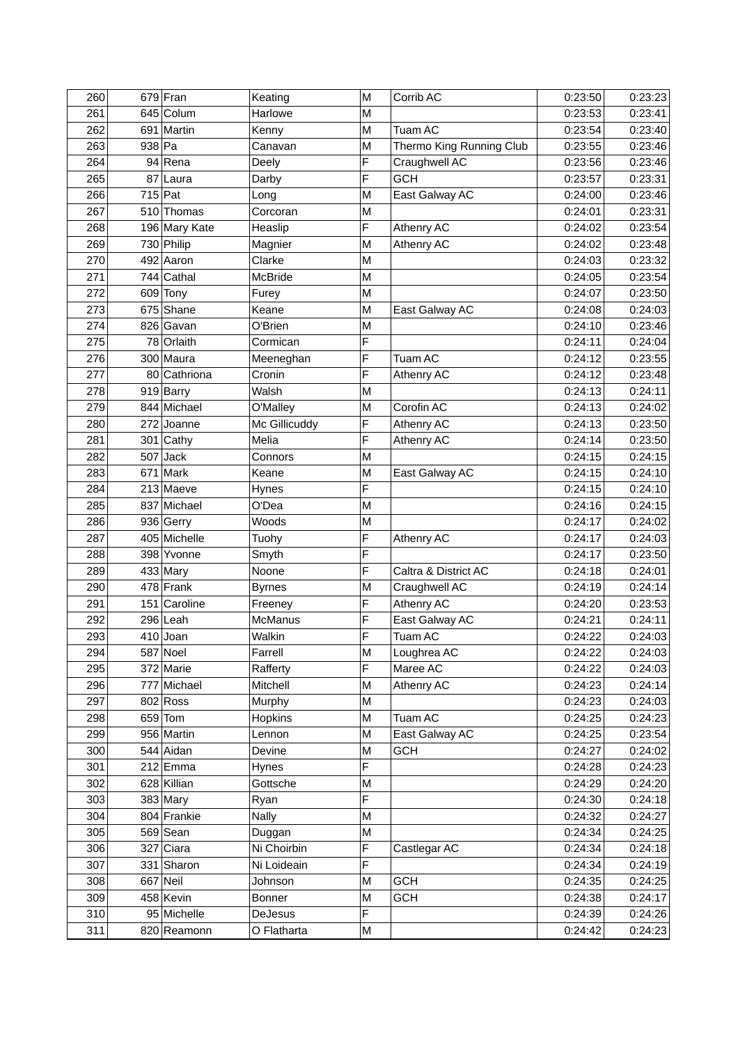| 260 |          | $679$ Fran    | Keating        | M | Corrib AC                | 0:23:50 | 0:23:23 |
|-----|----------|---------------|----------------|---|--------------------------|---------|---------|
| 261 |          | 645 Colum     | Harlowe        | M |                          | 0:23:53 | 0:23:41 |
| 262 |          | 691 Martin    | Kenny          | M | Tuam AC                  | 0:23:54 | 0:23:40 |
| 263 | $938$ Pa |               | Canavan        | M | Thermo King Running Club | 0:23:55 | 0:23:46 |
| 264 |          | $94$ Rena     | Deely          | F | Craughwell AC            | 0:23:56 | 0:23:46 |
| 265 |          | 87 Laura      | Darby          | F | <b>GCH</b>               | 0:23:57 | 0:23:31 |
| 266 |          | $715$ Pat     | Long           | M | East Galway AC           | 0:24:00 | 0:23:46 |
| 267 |          | 510 Thomas    | Corcoran       | M |                          | 0:24:01 | 0:23:31 |
| 268 |          | 196 Mary Kate | Heaslip        | F | Athenry AC               | 0:24:02 | 0:23:54 |
| 269 |          | 730 Philip    | Magnier        | M | Athenry AC               | 0:24:02 | 0:23:48 |
| 270 |          | $492$ Aaron   | Clarke         | M |                          | 0:24:03 | 0:23:32 |
| 271 |          | $744$ Cathal  | McBride        | M |                          | 0:24:05 | 0:23:54 |
| 272 |          | 609 Tony      | Furey          | M |                          | 0:24:07 | 0:23:50 |
| 273 |          | 675 Shane     | Keane          | M | East Galway AC           | 0:24:08 | 0:24:03 |
| 274 |          | 826 Gavan     | O'Brien        | M |                          | 0:24:10 | 0:23:46 |
| 275 |          | 78 Orlaith    | Cormican       | F |                          | 0:24:11 | 0:24:04 |
| 276 |          | 300 Maura     | Meeneghan      | F | Tuam AC                  | 0:24:12 | 0:23:55 |
| 277 |          | 80 Cathriona  | Cronin         | F | Athenry AC               | 0:24:12 | 0:23:48 |
| 278 |          | 919 Barry     | Walsh          | M |                          | 0:24:13 | 0:24:11 |
| 279 |          | 844 Michael   | O'Malley       | M | Corofin AC               | 0:24:13 | 0:24:02 |
| 280 |          | $272$ Joanne  | Mc Gillicuddy  | F | Athenry AC               | 0:24:13 | 0:23:50 |
| 281 |          | $301$ Cathy   | Melia          | F | Athenry AC               | 0:24:14 | 0:23:50 |
| 282 |          | $507$ Jack    | Connors        | M |                          | 0:24:15 | 0:24:15 |
| 283 |          | $671$ Mark    | Keane          | М | East Galway AC           | 0:24:15 | 0:24:10 |
| 284 |          | $213$ Maeve   | Hynes          | F |                          | 0:24:15 | 0:24:10 |
| 285 |          | 837 Michael   | O'Dea          | M |                          | 0:24:16 | 0:24:15 |
| 286 |          | 936 Gerry     | Woods          | M |                          | 0:24:17 | 0:24:02 |
| 287 |          | 405 Michelle  | Tuohy          | F | Athenry AC               | 0:24:17 | 0:24:03 |
| 288 |          | 398 Yvonne    | Smyth          | F |                          | 0:24:17 | 0:23:50 |
| 289 |          | 433 Mary      | Noone          | F | Caltra & District AC     | 0:24:18 | 0:24:01 |
| 290 |          | $478$ Frank   | <b>Byrnes</b>  | M | Craughwell AC            | 0:24:19 | 0:24:14 |
| 291 |          | 151 Caroline  | Freeney        | F | Athenry AC               | 0:24:20 | 0:23:53 |
| 292 |          | $296$ Leah    | <b>McManus</b> | F | East Galway AC           | 0:24:21 | 0:24:11 |
| 293 |          | $410$ Joan    | Walkin         | F | Tuam AC                  | 0:24:22 | 0:24:03 |
| 294 |          | 587 Noel      | Farrell        | Μ | Loughrea AC              | 0:24:22 | 0:24:03 |
| 295 |          | 372 Marie     | Rafferty       | F | Maree AC                 | 0:24:22 | 0:24:03 |
| 296 |          | 777 Michael   | Mitchell       | M | Athenry AC               | 0:24:23 | 0:24:14 |
| 297 |          | $802$ Ross    | Murphy         | M |                          | 0:24:23 | 0:24:03 |
| 298 |          | $659$ Tom     | <b>Hopkins</b> | M | Tuam AC                  | 0:24:25 | 0:24:23 |
| 299 |          | 956 Martin    | Lennon         | M | East Galway AC           | 0:24:25 | 0:23:54 |
| 300 |          | 544 Aidan     | Devine         | M | <b>GCH</b>               | 0:24:27 | 0:24:02 |
| 301 |          | $212$ Emma    | Hynes          | F |                          | 0:24:28 | 0:24:23 |
| 302 |          | 628 Killian   | Gottsche       | M |                          | 0:24:29 | 0:24:20 |
| 303 |          | $383$ Mary    | Ryan           | F |                          | 0:24:30 | 0:24:18 |
| 304 |          | 804 Frankie   | <b>Nally</b>   | M |                          | 0:24:32 | 0:24:27 |
| 305 |          | $569$ Sean    | Duggan         | M |                          | 0:24:34 | 0:24:25 |
| 306 |          | $327$ Ciara   | Ni Choirbin    | F | Castlegar AC             | 0:24:34 | 0:24:18 |
| 307 |          | 331 Sharon    | Ni Loideain    | F |                          | 0:24:34 | 0:24:19 |
| 308 |          | $667$ Neil    | Johnson        | M | <b>GCH</b>               | 0:24:35 | 0:24:25 |
| 309 |          | 458 Kevin     | <b>Bonner</b>  | M | <b>GCH</b>               | 0:24:38 | 0:24:17 |
| 310 |          | 95 Michelle   | DeJesus        | F |                          | 0:24:39 | 0:24:26 |
| 311 |          | 820 Reamonn   | O Flatharta    | М |                          | 0:24:42 | 0:24:23 |
|     |          |               |                |   |                          |         |         |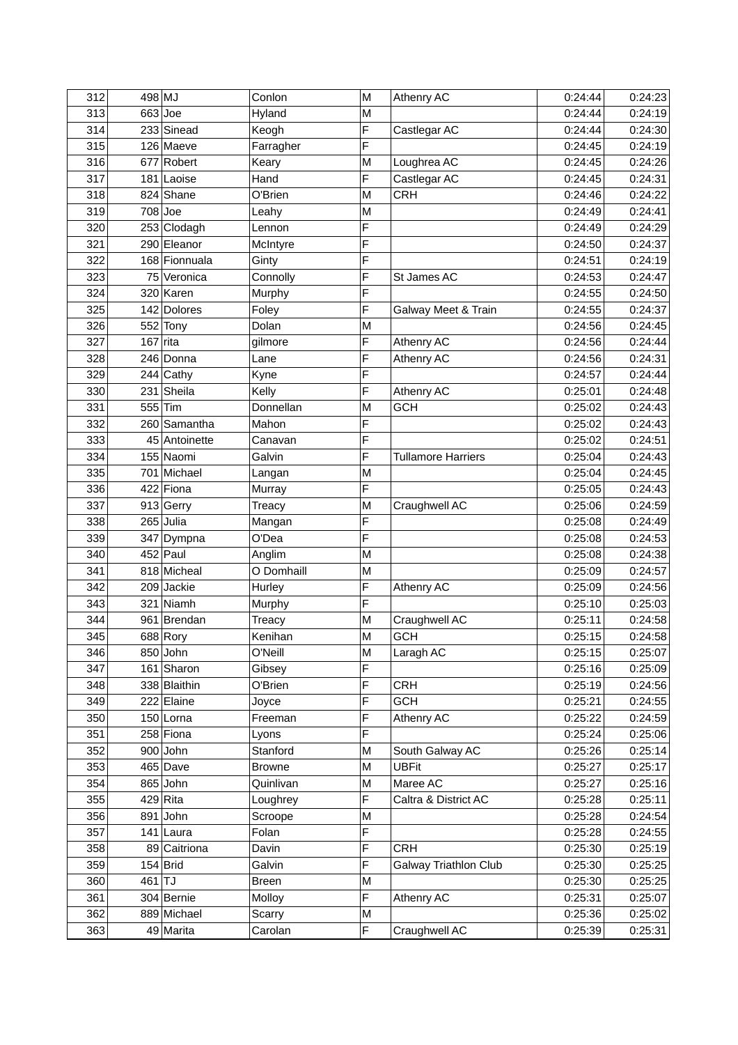| 312 | $498$ MJ   |                 | Conlon        | M | Athenry AC                   | 0:24:44 | 0:24:23 |
|-----|------------|-----------------|---------------|---|------------------------------|---------|---------|
| 313 |            | $663$ Joe       | Hyland        | M |                              | 0:24:44 | 0:24:19 |
| 314 |            | 233 Sinead      | Keogh         | F | Castlegar AC                 | 0:24:44 | 0:24:30 |
| 315 |            | 126 Maeve       | Farragher     | F |                              | 0:24:45 | 0:24:19 |
| 316 |            | 677 Robert      | Keary         | М | Loughrea AC                  | 0:24:45 | 0:24:26 |
| 317 |            | 181 Laoise      | Hand          | F | Castlegar AC                 | 0:24:45 | 0:24:31 |
| 318 |            | 824 Shane       | O'Brien       | M | <b>CRH</b>                   | 0:24:46 | 0:24:22 |
| 319 |            | $708$ Joe       | Leahy         | M |                              | 0:24:49 | 0:24:41 |
| 320 |            | 253 Clodagh     | Lennon        | F |                              | 0:24:49 | 0:24:29 |
| 321 |            | 290 Eleanor     | McIntyre      | F |                              | 0:24:50 | 0:24:37 |
| 322 |            | 168 Fionnuala   | Ginty         | F |                              | 0:24:51 | 0:24:19 |
| 323 |            | 75 Veronica     | Connolly      | F | St James AC                  | 0:24:53 | 0:24:47 |
| 324 |            | 320 Karen       | Murphy        | F |                              | 0:24:55 | 0:24:50 |
| 325 |            | 142 Dolores     | Foley         | F | Galway Meet & Train          | 0:24:55 | 0:24:37 |
| 326 |            | $552$ Tony      | Dolan         | М |                              | 0:24:56 | 0:24:45 |
| 327 | $167$ rita |                 | gilmore       | F | Athenry AC                   | 0:24:56 | 0:24:44 |
| 328 |            | 246 Donna       | Lane          | F | Athenry AC                   | 0:24:56 | 0:24:31 |
| 329 |            | $244$ Cathy     | Kyne          | F |                              | 0:24:57 | 0:24:44 |
| 330 |            | 231 Sheila      | Kelly         | F | Athenry AC                   | 0:25:01 | 0:24:48 |
| 331 |            | 555 $\vert$ Tim | Donnellan     | M | <b>GCH</b>                   | 0:25:02 | 0:24:43 |
| 332 |            | 260 Samantha    | Mahon         | F |                              | 0:25:02 | 0:24:43 |
| 333 |            | 45 Antoinette   | Canavan       | F |                              | 0:25:02 | 0:24:51 |
| 334 |            | 155 Naomi       | Galvin        | F | <b>Tullamore Harriers</b>    | 0:25:04 | 0:24:43 |
| 335 |            | 701 Michael     | Langan        | M |                              | 0:25:04 | 0:24:45 |
| 336 |            | 422 Fiona       | Murray        | F |                              | 0:25:05 | 0:24:43 |
| 337 |            | $913$ Gerry     | Treacy        | M | Craughwell AC                | 0:25:06 | 0:24:59 |
| 338 |            | $265$ Julia     | Mangan        | F |                              | 0:25:08 | 0:24:49 |
| 339 |            | 347 Dympna      | O'Dea         | F |                              | 0:25:08 | 0:24:53 |
| 340 |            | $452$ Paul      | Anglim        | M |                              | 0:25:08 | 0:24:38 |
| 341 |            | 818 Micheal     | O Domhaill    | M |                              | 0:25:09 | 0:24:57 |
| 342 |            | 209 Jackie      | Hurley        | F | Athenry AC                   | 0:25:09 | 0:24:56 |
| 343 |            | 321 Niamh       | Murphy        | F |                              | 0:25:10 | 0:25:03 |
| 344 |            | 961 Brendan     | Treacy        | M | Craughwell AC                | 0:25:11 | 0:24:58 |
| 345 |            | $688$ Rory      | Kenihan       | M | <b>GCH</b>                   | 0:25:15 | 0:24:58 |
| 346 |            | $850$ John      | O'Neill       | M | Laragh AC                    | 0:25:15 | 0:25:07 |
| 347 |            | 161 Sharon      | Gibsey        | F |                              | 0:25:16 | 0:25:09 |
| 348 |            | 338 Blaithin    | O'Brien       | F | <b>CRH</b>                   | 0:25:19 | 0:24:56 |
| 349 |            | 222 Elaine      | Joyce         | F | <b>GCH</b>                   | 0:25:21 | 0:24:55 |
| 350 |            | $150$ Lorna     | Freeman       | F | Athenry AC                   | 0:25:22 | 0:24:59 |
| 351 |            | 258 Fiona       | Lyons         | F |                              | 0:25:24 | 0:25:06 |
| 352 |            | $900$ John      | Stanford      | M | South Galway AC              | 0:25:26 | 0:25:14 |
| 353 |            | $465$ Dave      | <b>Browne</b> | M | <b>UBFit</b>                 | 0:25:27 | 0:25:17 |
| 354 |            | $865$ John      | Quinlivan     | M | Maree AC                     | 0:25:27 | 0:25:16 |
| 355 |            | $429$ Rita      | Loughrey      | F | Caltra & District AC         | 0:25:28 | 0:25:11 |
| 356 |            | $891$ John      | Scroope       | M |                              | 0:25:28 | 0:24:54 |
| 357 |            | $141$ Laura     | Folan         | F |                              | 0:25:28 | 0:24:55 |
| 358 |            | 89 Caitriona    | Davin         | F | <b>CRH</b>                   | 0:25:30 | 0:25:19 |
| 359 |            | $154$ Brid      | Galvin        | F | <b>Galway Triathlon Club</b> | 0:25:30 | 0:25:25 |
| 360 | $461$ TJ   |                 | <b>Breen</b>  | M |                              | 0:25:30 | 0:25:25 |
| 361 |            | 304 Bernie      | Molloy        | F | Athenry AC                   | 0:25:31 | 0:25:07 |
| 362 |            | 889 Michael     | Scarry        | M |                              | 0:25:36 | 0:25:02 |
| 363 |            | 49 Marita       | Carolan       | F | Craughwell AC                | 0:25:39 | 0:25:31 |
|     |            |                 |               |   |                              |         |         |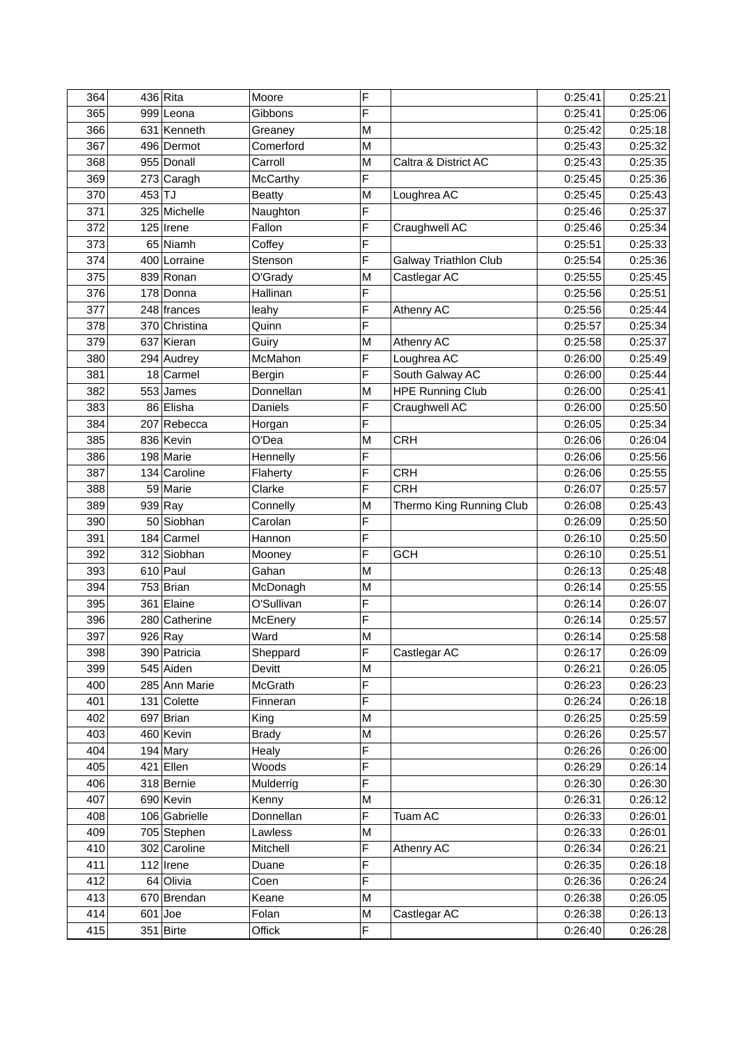| F<br>365<br>Gibbons<br>0:25:06<br>999 Leona<br>0:25:41<br>0:25:18<br>366<br>631 Kenneth<br>0:25:42<br>M<br>Greaney<br>0:25:32<br>367<br>496 Dermot<br>Comerford<br>0:25:43<br>M<br>955 Donall<br>0:25:35<br>368<br>Carroll<br>M<br>Caltra & District AC<br>0:25:43<br>F<br>369<br>273 Caragh<br>0:25:36<br>0:25:45<br><b>McCarthy</b><br>370<br>$453$ TJ<br>0:25:45<br>0:25:43<br><b>Beatty</b><br>M<br>Loughrea AC<br>371<br>325 Michelle<br>F<br>0:25:46<br>0:25:37<br>Naughton<br>F<br>0:25:34<br>$125$ Irene<br>Fallon<br>372<br>Craughwell AC<br>0:25:46<br>F<br>373<br>65 Niamh<br>0:25:51<br>0:25:33<br>Coffey<br>F<br>0:25:36<br>374<br>400 Lorraine<br>Galway Triathlon Club<br>0:25:54<br>Stenson<br>375<br>Castlegar AC<br>0:25:45<br>839 Ronan<br>M<br>0:25:55<br>O'Grady<br>F<br>376<br>0:25:56<br>0:25:51<br>178 Donna<br>Hallinan<br>F<br>0:25:44<br>377<br>0:25:56<br>248 frances<br>leahy<br>Athenry AC<br>F<br>0:25:34<br>378<br>0:25:57<br>370 Christina<br>Quinn<br>379<br>637 Kieran<br>M<br>Athenry AC<br>0:25:58<br>0:25:37<br>Guiry<br>F<br>380<br>0:25:49<br>294 Audrey<br>McMahon<br>Loughrea AC<br>0:26:00<br>381<br>$18$ Carmel<br>F<br>South Galway AC<br>0:25:44<br>0:26:00<br><b>Bergin</b><br>0:25:41<br>382<br>$553$ James<br>Donnellan<br><b>HPE Running Club</b><br>M<br>0:26:00<br>383<br>86 Elisha<br>F<br>0:26:00<br>0:25:50<br>Daniels<br>Craughwell AC<br>F<br>0:25:34<br>384<br>207 Rebecca<br>0:26:05<br>Horgan<br>385<br>836 Kevin<br>0:26:06<br>0:26:04<br>O'Dea<br>M<br><b>CRH</b><br>386<br>198 Marie<br>F<br>0:26:06<br>0:25:56<br>Hennelly<br>387<br>0:25:55<br>134 Caroline<br>F<br><b>CRH</b><br>0:26:06<br>Flaherty<br>0:25:57<br>59 Marie<br>F<br><b>CRH</b><br>388<br>Clarke<br>0:26:07<br>389<br>939 Ray<br>0:25:43<br>M<br>0:26:08<br>Connelly<br>Thermo King Running Club<br>F<br>390<br>50 Siobhan<br>0:25:50<br>Carolan<br>0:26:09<br>F<br>391<br>184 Carmel<br>0:26:10<br>0:25:50<br>Hannon<br>0:25:51<br>392<br>312 Siobhan<br>F<br><b>GCH</b><br>0:26:10<br>Mooney<br>0:25:48<br>$610$ Paul<br>Gahan<br>0:26:13<br>393<br>M<br>394<br>$753$ Brian<br>0:26:14<br>0:25:55<br>M<br>McDonagh<br>F<br>395<br>361 Elaine<br>O'Sullivan<br>0:26:14<br>0:26:07<br>F<br>396<br>280 Catherine<br>0:26:14<br>0:25:57<br>McEnery<br>397<br>$926$ Ray<br>0:25:58<br>Ward<br>M<br>0:26:14<br>0:26:17<br>398<br>F<br>Castlegar AC<br>390 Patricia<br>Sheppard<br>545 Aiden<br>399<br>Devitt<br>M<br>0:26:21<br>F<br>285 Ann Marie<br>400<br>McGrath<br>0:26:23<br>F<br>401<br>131 Colette<br>0:26:24<br>Finneran<br>$697$ Brian<br>0:26:25<br>402<br>M<br>King<br>460 Kevin<br>0:26:26<br>403<br><b>Brady</b><br>M<br>F<br>404<br>$194$ Mary<br>0:26:26<br>0:26:00<br>Healy<br>F<br>$421$ Ellen<br>0:26:14<br>405<br>Woods<br>0:26:29<br>F<br>406<br>318 Bernie<br>0:26:30<br>Mulderrig<br>407<br>690 Kevin<br>M<br>0:26:31<br>Kenny<br>F<br>106 Gabrielle<br>Donnellan<br>0:26:01<br>408<br>Tuam AC<br>0:26:33<br>0:26:01<br>409<br>705 Stephen<br>Lawless<br>M<br>0:26:33<br>F<br>302 Caroline<br>410<br>Mitchell<br>Athenry AC<br>0:26:34<br>0:26:21<br>F<br>411<br>$112$ Irene<br>0:26:35<br>Duane<br>F<br>412<br>64 Olivia<br>0:26:36<br>Coen<br>670 Brendan<br>413<br>Keane<br>M<br>0:26:38<br>0:26:38<br>414<br>$601$ Joe<br>Folan<br>Castlegar AC<br>M<br>$351$ Birte<br>F<br>415<br>Offick<br>0:26:40 | 364 | $436$ Rita | Moore | F | 0:25:41 | 0:25:21 |
|--------------------------------------------------------------------------------------------------------------------------------------------------------------------------------------------------------------------------------------------------------------------------------------------------------------------------------------------------------------------------------------------------------------------------------------------------------------------------------------------------------------------------------------------------------------------------------------------------------------------------------------------------------------------------------------------------------------------------------------------------------------------------------------------------------------------------------------------------------------------------------------------------------------------------------------------------------------------------------------------------------------------------------------------------------------------------------------------------------------------------------------------------------------------------------------------------------------------------------------------------------------------------------------------------------------------------------------------------------------------------------------------------------------------------------------------------------------------------------------------------------------------------------------------------------------------------------------------------------------------------------------------------------------------------------------------------------------------------------------------------------------------------------------------------------------------------------------------------------------------------------------------------------------------------------------------------------------------------------------------------------------------------------------------------------------------------------------------------------------------------------------------------------------------------------------------------------------------------------------------------------------------------------------------------------------------------------------------------------------------------------------------------------------------------------------------------------------------------------------------------------------------------------------------------------------------------------------------------------------------------------------------------------------------------------------------------------------------------------------------------------------------------------------------------------------------------------------------------------------------------------------------------------------------------------------------------------------------------------------------------------------------------------------------------------------------------------------------------------------------------------------------------------------------------------------------------------------------------------------------------------------------------------------------------------------------------------------------------------------|-----|------------|-------|---|---------|---------|
| 0:26:09<br>0:25:59<br>0:25:57<br>0:26:30<br>0:26:12<br>0:26:24<br>0:26:05                                                                                                                                                                                                                                                                                                                                                                                                                                                                                                                                                                                                                                                                                                                                                                                                                                                                                                                                                                                                                                                                                                                                                                                                                                                                                                                                                                                                                                                                                                                                                                                                                                                                                                                                                                                                                                                                                                                                                                                                                                                                                                                                                                                                                                                                                                                                                                                                                                                                                                                                                                                                                                                                                                                                                                                                                                                                                                                                                                                                                                                                                                                                                                                                                                                                                    |     |            |       |   |         |         |
|                                                                                                                                                                                                                                                                                                                                                                                                                                                                                                                                                                                                                                                                                                                                                                                                                                                                                                                                                                                                                                                                                                                                                                                                                                                                                                                                                                                                                                                                                                                                                                                                                                                                                                                                                                                                                                                                                                                                                                                                                                                                                                                                                                                                                                                                                                                                                                                                                                                                                                                                                                                                                                                                                                                                                                                                                                                                                                                                                                                                                                                                                                                                                                                                                                                                                                                                                              |     |            |       |   |         |         |
|                                                                                                                                                                                                                                                                                                                                                                                                                                                                                                                                                                                                                                                                                                                                                                                                                                                                                                                                                                                                                                                                                                                                                                                                                                                                                                                                                                                                                                                                                                                                                                                                                                                                                                                                                                                                                                                                                                                                                                                                                                                                                                                                                                                                                                                                                                                                                                                                                                                                                                                                                                                                                                                                                                                                                                                                                                                                                                                                                                                                                                                                                                                                                                                                                                                                                                                                                              |     |            |       |   |         |         |
|                                                                                                                                                                                                                                                                                                                                                                                                                                                                                                                                                                                                                                                                                                                                                                                                                                                                                                                                                                                                                                                                                                                                                                                                                                                                                                                                                                                                                                                                                                                                                                                                                                                                                                                                                                                                                                                                                                                                                                                                                                                                                                                                                                                                                                                                                                                                                                                                                                                                                                                                                                                                                                                                                                                                                                                                                                                                                                                                                                                                                                                                                                                                                                                                                                                                                                                                                              |     |            |       |   |         |         |
|                                                                                                                                                                                                                                                                                                                                                                                                                                                                                                                                                                                                                                                                                                                                                                                                                                                                                                                                                                                                                                                                                                                                                                                                                                                                                                                                                                                                                                                                                                                                                                                                                                                                                                                                                                                                                                                                                                                                                                                                                                                                                                                                                                                                                                                                                                                                                                                                                                                                                                                                                                                                                                                                                                                                                                                                                                                                                                                                                                                                                                                                                                                                                                                                                                                                                                                                                              |     |            |       |   |         |         |
|                                                                                                                                                                                                                                                                                                                                                                                                                                                                                                                                                                                                                                                                                                                                                                                                                                                                                                                                                                                                                                                                                                                                                                                                                                                                                                                                                                                                                                                                                                                                                                                                                                                                                                                                                                                                                                                                                                                                                                                                                                                                                                                                                                                                                                                                                                                                                                                                                                                                                                                                                                                                                                                                                                                                                                                                                                                                                                                                                                                                                                                                                                                                                                                                                                                                                                                                                              |     |            |       |   |         |         |
|                                                                                                                                                                                                                                                                                                                                                                                                                                                                                                                                                                                                                                                                                                                                                                                                                                                                                                                                                                                                                                                                                                                                                                                                                                                                                                                                                                                                                                                                                                                                                                                                                                                                                                                                                                                                                                                                                                                                                                                                                                                                                                                                                                                                                                                                                                                                                                                                                                                                                                                                                                                                                                                                                                                                                                                                                                                                                                                                                                                                                                                                                                                                                                                                                                                                                                                                                              |     |            |       |   |         |         |
|                                                                                                                                                                                                                                                                                                                                                                                                                                                                                                                                                                                                                                                                                                                                                                                                                                                                                                                                                                                                                                                                                                                                                                                                                                                                                                                                                                                                                                                                                                                                                                                                                                                                                                                                                                                                                                                                                                                                                                                                                                                                                                                                                                                                                                                                                                                                                                                                                                                                                                                                                                                                                                                                                                                                                                                                                                                                                                                                                                                                                                                                                                                                                                                                                                                                                                                                                              |     |            |       |   |         |         |
|                                                                                                                                                                                                                                                                                                                                                                                                                                                                                                                                                                                                                                                                                                                                                                                                                                                                                                                                                                                                                                                                                                                                                                                                                                                                                                                                                                                                                                                                                                                                                                                                                                                                                                                                                                                                                                                                                                                                                                                                                                                                                                                                                                                                                                                                                                                                                                                                                                                                                                                                                                                                                                                                                                                                                                                                                                                                                                                                                                                                                                                                                                                                                                                                                                                                                                                                                              |     |            |       |   |         |         |
|                                                                                                                                                                                                                                                                                                                                                                                                                                                                                                                                                                                                                                                                                                                                                                                                                                                                                                                                                                                                                                                                                                                                                                                                                                                                                                                                                                                                                                                                                                                                                                                                                                                                                                                                                                                                                                                                                                                                                                                                                                                                                                                                                                                                                                                                                                                                                                                                                                                                                                                                                                                                                                                                                                                                                                                                                                                                                                                                                                                                                                                                                                                                                                                                                                                                                                                                                              |     |            |       |   |         |         |
|                                                                                                                                                                                                                                                                                                                                                                                                                                                                                                                                                                                                                                                                                                                                                                                                                                                                                                                                                                                                                                                                                                                                                                                                                                                                                                                                                                                                                                                                                                                                                                                                                                                                                                                                                                                                                                                                                                                                                                                                                                                                                                                                                                                                                                                                                                                                                                                                                                                                                                                                                                                                                                                                                                                                                                                                                                                                                                                                                                                                                                                                                                                                                                                                                                                                                                                                                              |     |            |       |   |         |         |
|                                                                                                                                                                                                                                                                                                                                                                                                                                                                                                                                                                                                                                                                                                                                                                                                                                                                                                                                                                                                                                                                                                                                                                                                                                                                                                                                                                                                                                                                                                                                                                                                                                                                                                                                                                                                                                                                                                                                                                                                                                                                                                                                                                                                                                                                                                                                                                                                                                                                                                                                                                                                                                                                                                                                                                                                                                                                                                                                                                                                                                                                                                                                                                                                                                                                                                                                                              |     |            |       |   |         |         |
|                                                                                                                                                                                                                                                                                                                                                                                                                                                                                                                                                                                                                                                                                                                                                                                                                                                                                                                                                                                                                                                                                                                                                                                                                                                                                                                                                                                                                                                                                                                                                                                                                                                                                                                                                                                                                                                                                                                                                                                                                                                                                                                                                                                                                                                                                                                                                                                                                                                                                                                                                                                                                                                                                                                                                                                                                                                                                                                                                                                                                                                                                                                                                                                                                                                                                                                                                              |     |            |       |   |         |         |
|                                                                                                                                                                                                                                                                                                                                                                                                                                                                                                                                                                                                                                                                                                                                                                                                                                                                                                                                                                                                                                                                                                                                                                                                                                                                                                                                                                                                                                                                                                                                                                                                                                                                                                                                                                                                                                                                                                                                                                                                                                                                                                                                                                                                                                                                                                                                                                                                                                                                                                                                                                                                                                                                                                                                                                                                                                                                                                                                                                                                                                                                                                                                                                                                                                                                                                                                                              |     |            |       |   |         |         |
|                                                                                                                                                                                                                                                                                                                                                                                                                                                                                                                                                                                                                                                                                                                                                                                                                                                                                                                                                                                                                                                                                                                                                                                                                                                                                                                                                                                                                                                                                                                                                                                                                                                                                                                                                                                                                                                                                                                                                                                                                                                                                                                                                                                                                                                                                                                                                                                                                                                                                                                                                                                                                                                                                                                                                                                                                                                                                                                                                                                                                                                                                                                                                                                                                                                                                                                                                              |     |            |       |   |         |         |
|                                                                                                                                                                                                                                                                                                                                                                                                                                                                                                                                                                                                                                                                                                                                                                                                                                                                                                                                                                                                                                                                                                                                                                                                                                                                                                                                                                                                                                                                                                                                                                                                                                                                                                                                                                                                                                                                                                                                                                                                                                                                                                                                                                                                                                                                                                                                                                                                                                                                                                                                                                                                                                                                                                                                                                                                                                                                                                                                                                                                                                                                                                                                                                                                                                                                                                                                                              |     |            |       |   |         |         |
|                                                                                                                                                                                                                                                                                                                                                                                                                                                                                                                                                                                                                                                                                                                                                                                                                                                                                                                                                                                                                                                                                                                                                                                                                                                                                                                                                                                                                                                                                                                                                                                                                                                                                                                                                                                                                                                                                                                                                                                                                                                                                                                                                                                                                                                                                                                                                                                                                                                                                                                                                                                                                                                                                                                                                                                                                                                                                                                                                                                                                                                                                                                                                                                                                                                                                                                                                              |     |            |       |   |         |         |
|                                                                                                                                                                                                                                                                                                                                                                                                                                                                                                                                                                                                                                                                                                                                                                                                                                                                                                                                                                                                                                                                                                                                                                                                                                                                                                                                                                                                                                                                                                                                                                                                                                                                                                                                                                                                                                                                                                                                                                                                                                                                                                                                                                                                                                                                                                                                                                                                                                                                                                                                                                                                                                                                                                                                                                                                                                                                                                                                                                                                                                                                                                                                                                                                                                                                                                                                                              |     |            |       |   |         |         |
|                                                                                                                                                                                                                                                                                                                                                                                                                                                                                                                                                                                                                                                                                                                                                                                                                                                                                                                                                                                                                                                                                                                                                                                                                                                                                                                                                                                                                                                                                                                                                                                                                                                                                                                                                                                                                                                                                                                                                                                                                                                                                                                                                                                                                                                                                                                                                                                                                                                                                                                                                                                                                                                                                                                                                                                                                                                                                                                                                                                                                                                                                                                                                                                                                                                                                                                                                              |     |            |       |   |         |         |
|                                                                                                                                                                                                                                                                                                                                                                                                                                                                                                                                                                                                                                                                                                                                                                                                                                                                                                                                                                                                                                                                                                                                                                                                                                                                                                                                                                                                                                                                                                                                                                                                                                                                                                                                                                                                                                                                                                                                                                                                                                                                                                                                                                                                                                                                                                                                                                                                                                                                                                                                                                                                                                                                                                                                                                                                                                                                                                                                                                                                                                                                                                                                                                                                                                                                                                                                                              |     |            |       |   |         |         |
|                                                                                                                                                                                                                                                                                                                                                                                                                                                                                                                                                                                                                                                                                                                                                                                                                                                                                                                                                                                                                                                                                                                                                                                                                                                                                                                                                                                                                                                                                                                                                                                                                                                                                                                                                                                                                                                                                                                                                                                                                                                                                                                                                                                                                                                                                                                                                                                                                                                                                                                                                                                                                                                                                                                                                                                                                                                                                                                                                                                                                                                                                                                                                                                                                                                                                                                                                              |     |            |       |   |         |         |
|                                                                                                                                                                                                                                                                                                                                                                                                                                                                                                                                                                                                                                                                                                                                                                                                                                                                                                                                                                                                                                                                                                                                                                                                                                                                                                                                                                                                                                                                                                                                                                                                                                                                                                                                                                                                                                                                                                                                                                                                                                                                                                                                                                                                                                                                                                                                                                                                                                                                                                                                                                                                                                                                                                                                                                                                                                                                                                                                                                                                                                                                                                                                                                                                                                                                                                                                                              |     |            |       |   |         |         |
|                                                                                                                                                                                                                                                                                                                                                                                                                                                                                                                                                                                                                                                                                                                                                                                                                                                                                                                                                                                                                                                                                                                                                                                                                                                                                                                                                                                                                                                                                                                                                                                                                                                                                                                                                                                                                                                                                                                                                                                                                                                                                                                                                                                                                                                                                                                                                                                                                                                                                                                                                                                                                                                                                                                                                                                                                                                                                                                                                                                                                                                                                                                                                                                                                                                                                                                                                              |     |            |       |   |         |         |
|                                                                                                                                                                                                                                                                                                                                                                                                                                                                                                                                                                                                                                                                                                                                                                                                                                                                                                                                                                                                                                                                                                                                                                                                                                                                                                                                                                                                                                                                                                                                                                                                                                                                                                                                                                                                                                                                                                                                                                                                                                                                                                                                                                                                                                                                                                                                                                                                                                                                                                                                                                                                                                                                                                                                                                                                                                                                                                                                                                                                                                                                                                                                                                                                                                                                                                                                                              |     |            |       |   |         |         |
|                                                                                                                                                                                                                                                                                                                                                                                                                                                                                                                                                                                                                                                                                                                                                                                                                                                                                                                                                                                                                                                                                                                                                                                                                                                                                                                                                                                                                                                                                                                                                                                                                                                                                                                                                                                                                                                                                                                                                                                                                                                                                                                                                                                                                                                                                                                                                                                                                                                                                                                                                                                                                                                                                                                                                                                                                                                                                                                                                                                                                                                                                                                                                                                                                                                                                                                                                              |     |            |       |   |         |         |
|                                                                                                                                                                                                                                                                                                                                                                                                                                                                                                                                                                                                                                                                                                                                                                                                                                                                                                                                                                                                                                                                                                                                                                                                                                                                                                                                                                                                                                                                                                                                                                                                                                                                                                                                                                                                                                                                                                                                                                                                                                                                                                                                                                                                                                                                                                                                                                                                                                                                                                                                                                                                                                                                                                                                                                                                                                                                                                                                                                                                                                                                                                                                                                                                                                                                                                                                                              |     |            |       |   |         |         |
|                                                                                                                                                                                                                                                                                                                                                                                                                                                                                                                                                                                                                                                                                                                                                                                                                                                                                                                                                                                                                                                                                                                                                                                                                                                                                                                                                                                                                                                                                                                                                                                                                                                                                                                                                                                                                                                                                                                                                                                                                                                                                                                                                                                                                                                                                                                                                                                                                                                                                                                                                                                                                                                                                                                                                                                                                                                                                                                                                                                                                                                                                                                                                                                                                                                                                                                                                              |     |            |       |   |         |         |
|                                                                                                                                                                                                                                                                                                                                                                                                                                                                                                                                                                                                                                                                                                                                                                                                                                                                                                                                                                                                                                                                                                                                                                                                                                                                                                                                                                                                                                                                                                                                                                                                                                                                                                                                                                                                                                                                                                                                                                                                                                                                                                                                                                                                                                                                                                                                                                                                                                                                                                                                                                                                                                                                                                                                                                                                                                                                                                                                                                                                                                                                                                                                                                                                                                                                                                                                                              |     |            |       |   |         |         |
|                                                                                                                                                                                                                                                                                                                                                                                                                                                                                                                                                                                                                                                                                                                                                                                                                                                                                                                                                                                                                                                                                                                                                                                                                                                                                                                                                                                                                                                                                                                                                                                                                                                                                                                                                                                                                                                                                                                                                                                                                                                                                                                                                                                                                                                                                                                                                                                                                                                                                                                                                                                                                                                                                                                                                                                                                                                                                                                                                                                                                                                                                                                                                                                                                                                                                                                                                              |     |            |       |   |         |         |
|                                                                                                                                                                                                                                                                                                                                                                                                                                                                                                                                                                                                                                                                                                                                                                                                                                                                                                                                                                                                                                                                                                                                                                                                                                                                                                                                                                                                                                                                                                                                                                                                                                                                                                                                                                                                                                                                                                                                                                                                                                                                                                                                                                                                                                                                                                                                                                                                                                                                                                                                                                                                                                                                                                                                                                                                                                                                                                                                                                                                                                                                                                                                                                                                                                                                                                                                                              |     |            |       |   |         |         |
|                                                                                                                                                                                                                                                                                                                                                                                                                                                                                                                                                                                                                                                                                                                                                                                                                                                                                                                                                                                                                                                                                                                                                                                                                                                                                                                                                                                                                                                                                                                                                                                                                                                                                                                                                                                                                                                                                                                                                                                                                                                                                                                                                                                                                                                                                                                                                                                                                                                                                                                                                                                                                                                                                                                                                                                                                                                                                                                                                                                                                                                                                                                                                                                                                                                                                                                                                              |     |            |       |   |         |         |
|                                                                                                                                                                                                                                                                                                                                                                                                                                                                                                                                                                                                                                                                                                                                                                                                                                                                                                                                                                                                                                                                                                                                                                                                                                                                                                                                                                                                                                                                                                                                                                                                                                                                                                                                                                                                                                                                                                                                                                                                                                                                                                                                                                                                                                                                                                                                                                                                                                                                                                                                                                                                                                                                                                                                                                                                                                                                                                                                                                                                                                                                                                                                                                                                                                                                                                                                                              |     |            |       |   |         |         |
|                                                                                                                                                                                                                                                                                                                                                                                                                                                                                                                                                                                                                                                                                                                                                                                                                                                                                                                                                                                                                                                                                                                                                                                                                                                                                                                                                                                                                                                                                                                                                                                                                                                                                                                                                                                                                                                                                                                                                                                                                                                                                                                                                                                                                                                                                                                                                                                                                                                                                                                                                                                                                                                                                                                                                                                                                                                                                                                                                                                                                                                                                                                                                                                                                                                                                                                                                              |     |            |       |   |         |         |
|                                                                                                                                                                                                                                                                                                                                                                                                                                                                                                                                                                                                                                                                                                                                                                                                                                                                                                                                                                                                                                                                                                                                                                                                                                                                                                                                                                                                                                                                                                                                                                                                                                                                                                                                                                                                                                                                                                                                                                                                                                                                                                                                                                                                                                                                                                                                                                                                                                                                                                                                                                                                                                                                                                                                                                                                                                                                                                                                                                                                                                                                                                                                                                                                                                                                                                                                                              |     |            |       |   |         |         |
|                                                                                                                                                                                                                                                                                                                                                                                                                                                                                                                                                                                                                                                                                                                                                                                                                                                                                                                                                                                                                                                                                                                                                                                                                                                                                                                                                                                                                                                                                                                                                                                                                                                                                                                                                                                                                                                                                                                                                                                                                                                                                                                                                                                                                                                                                                                                                                                                                                                                                                                                                                                                                                                                                                                                                                                                                                                                                                                                                                                                                                                                                                                                                                                                                                                                                                                                                              |     |            |       |   |         | 0:26:05 |
|                                                                                                                                                                                                                                                                                                                                                                                                                                                                                                                                                                                                                                                                                                                                                                                                                                                                                                                                                                                                                                                                                                                                                                                                                                                                                                                                                                                                                                                                                                                                                                                                                                                                                                                                                                                                                                                                                                                                                                                                                                                                                                                                                                                                                                                                                                                                                                                                                                                                                                                                                                                                                                                                                                                                                                                                                                                                                                                                                                                                                                                                                                                                                                                                                                                                                                                                                              |     |            |       |   |         | 0:26:23 |
|                                                                                                                                                                                                                                                                                                                                                                                                                                                                                                                                                                                                                                                                                                                                                                                                                                                                                                                                                                                                                                                                                                                                                                                                                                                                                                                                                                                                                                                                                                                                                                                                                                                                                                                                                                                                                                                                                                                                                                                                                                                                                                                                                                                                                                                                                                                                                                                                                                                                                                                                                                                                                                                                                                                                                                                                                                                                                                                                                                                                                                                                                                                                                                                                                                                                                                                                                              |     |            |       |   |         | 0:26:18 |
|                                                                                                                                                                                                                                                                                                                                                                                                                                                                                                                                                                                                                                                                                                                                                                                                                                                                                                                                                                                                                                                                                                                                                                                                                                                                                                                                                                                                                                                                                                                                                                                                                                                                                                                                                                                                                                                                                                                                                                                                                                                                                                                                                                                                                                                                                                                                                                                                                                                                                                                                                                                                                                                                                                                                                                                                                                                                                                                                                                                                                                                                                                                                                                                                                                                                                                                                                              |     |            |       |   |         |         |
|                                                                                                                                                                                                                                                                                                                                                                                                                                                                                                                                                                                                                                                                                                                                                                                                                                                                                                                                                                                                                                                                                                                                                                                                                                                                                                                                                                                                                                                                                                                                                                                                                                                                                                                                                                                                                                                                                                                                                                                                                                                                                                                                                                                                                                                                                                                                                                                                                                                                                                                                                                                                                                                                                                                                                                                                                                                                                                                                                                                                                                                                                                                                                                                                                                                                                                                                                              |     |            |       |   |         |         |
|                                                                                                                                                                                                                                                                                                                                                                                                                                                                                                                                                                                                                                                                                                                                                                                                                                                                                                                                                                                                                                                                                                                                                                                                                                                                                                                                                                                                                                                                                                                                                                                                                                                                                                                                                                                                                                                                                                                                                                                                                                                                                                                                                                                                                                                                                                                                                                                                                                                                                                                                                                                                                                                                                                                                                                                                                                                                                                                                                                                                                                                                                                                                                                                                                                                                                                                                                              |     |            |       |   |         |         |
|                                                                                                                                                                                                                                                                                                                                                                                                                                                                                                                                                                                                                                                                                                                                                                                                                                                                                                                                                                                                                                                                                                                                                                                                                                                                                                                                                                                                                                                                                                                                                                                                                                                                                                                                                                                                                                                                                                                                                                                                                                                                                                                                                                                                                                                                                                                                                                                                                                                                                                                                                                                                                                                                                                                                                                                                                                                                                                                                                                                                                                                                                                                                                                                                                                                                                                                                                              |     |            |       |   |         |         |
|                                                                                                                                                                                                                                                                                                                                                                                                                                                                                                                                                                                                                                                                                                                                                                                                                                                                                                                                                                                                                                                                                                                                                                                                                                                                                                                                                                                                                                                                                                                                                                                                                                                                                                                                                                                                                                                                                                                                                                                                                                                                                                                                                                                                                                                                                                                                                                                                                                                                                                                                                                                                                                                                                                                                                                                                                                                                                                                                                                                                                                                                                                                                                                                                                                                                                                                                                              |     |            |       |   |         |         |
|                                                                                                                                                                                                                                                                                                                                                                                                                                                                                                                                                                                                                                                                                                                                                                                                                                                                                                                                                                                                                                                                                                                                                                                                                                                                                                                                                                                                                                                                                                                                                                                                                                                                                                                                                                                                                                                                                                                                                                                                                                                                                                                                                                                                                                                                                                                                                                                                                                                                                                                                                                                                                                                                                                                                                                                                                                                                                                                                                                                                                                                                                                                                                                                                                                                                                                                                                              |     |            |       |   |         |         |
|                                                                                                                                                                                                                                                                                                                                                                                                                                                                                                                                                                                                                                                                                                                                                                                                                                                                                                                                                                                                                                                                                                                                                                                                                                                                                                                                                                                                                                                                                                                                                                                                                                                                                                                                                                                                                                                                                                                                                                                                                                                                                                                                                                                                                                                                                                                                                                                                                                                                                                                                                                                                                                                                                                                                                                                                                                                                                                                                                                                                                                                                                                                                                                                                                                                                                                                                                              |     |            |       |   |         |         |
|                                                                                                                                                                                                                                                                                                                                                                                                                                                                                                                                                                                                                                                                                                                                                                                                                                                                                                                                                                                                                                                                                                                                                                                                                                                                                                                                                                                                                                                                                                                                                                                                                                                                                                                                                                                                                                                                                                                                                                                                                                                                                                                                                                                                                                                                                                                                                                                                                                                                                                                                                                                                                                                                                                                                                                                                                                                                                                                                                                                                                                                                                                                                                                                                                                                                                                                                                              |     |            |       |   |         |         |
|                                                                                                                                                                                                                                                                                                                                                                                                                                                                                                                                                                                                                                                                                                                                                                                                                                                                                                                                                                                                                                                                                                                                                                                                                                                                                                                                                                                                                                                                                                                                                                                                                                                                                                                                                                                                                                                                                                                                                                                                                                                                                                                                                                                                                                                                                                                                                                                                                                                                                                                                                                                                                                                                                                                                                                                                                                                                                                                                                                                                                                                                                                                                                                                                                                                                                                                                                              |     |            |       |   |         |         |
|                                                                                                                                                                                                                                                                                                                                                                                                                                                                                                                                                                                                                                                                                                                                                                                                                                                                                                                                                                                                                                                                                                                                                                                                                                                                                                                                                                                                                                                                                                                                                                                                                                                                                                                                                                                                                                                                                                                                                                                                                                                                                                                                                                                                                                                                                                                                                                                                                                                                                                                                                                                                                                                                                                                                                                                                                                                                                                                                                                                                                                                                                                                                                                                                                                                                                                                                                              |     |            |       |   |         | 0:26:18 |
|                                                                                                                                                                                                                                                                                                                                                                                                                                                                                                                                                                                                                                                                                                                                                                                                                                                                                                                                                                                                                                                                                                                                                                                                                                                                                                                                                                                                                                                                                                                                                                                                                                                                                                                                                                                                                                                                                                                                                                                                                                                                                                                                                                                                                                                                                                                                                                                                                                                                                                                                                                                                                                                                                                                                                                                                                                                                                                                                                                                                                                                                                                                                                                                                                                                                                                                                                              |     |            |       |   |         |         |
|                                                                                                                                                                                                                                                                                                                                                                                                                                                                                                                                                                                                                                                                                                                                                                                                                                                                                                                                                                                                                                                                                                                                                                                                                                                                                                                                                                                                                                                                                                                                                                                                                                                                                                                                                                                                                                                                                                                                                                                                                                                                                                                                                                                                                                                                                                                                                                                                                                                                                                                                                                                                                                                                                                                                                                                                                                                                                                                                                                                                                                                                                                                                                                                                                                                                                                                                                              |     |            |       |   |         |         |
|                                                                                                                                                                                                                                                                                                                                                                                                                                                                                                                                                                                                                                                                                                                                                                                                                                                                                                                                                                                                                                                                                                                                                                                                                                                                                                                                                                                                                                                                                                                                                                                                                                                                                                                                                                                                                                                                                                                                                                                                                                                                                                                                                                                                                                                                                                                                                                                                                                                                                                                                                                                                                                                                                                                                                                                                                                                                                                                                                                                                                                                                                                                                                                                                                                                                                                                                                              |     |            |       |   |         | 0:26:13 |
|                                                                                                                                                                                                                                                                                                                                                                                                                                                                                                                                                                                                                                                                                                                                                                                                                                                                                                                                                                                                                                                                                                                                                                                                                                                                                                                                                                                                                                                                                                                                                                                                                                                                                                                                                                                                                                                                                                                                                                                                                                                                                                                                                                                                                                                                                                                                                                                                                                                                                                                                                                                                                                                                                                                                                                                                                                                                                                                                                                                                                                                                                                                                                                                                                                                                                                                                                              |     |            |       |   |         | 0:26:28 |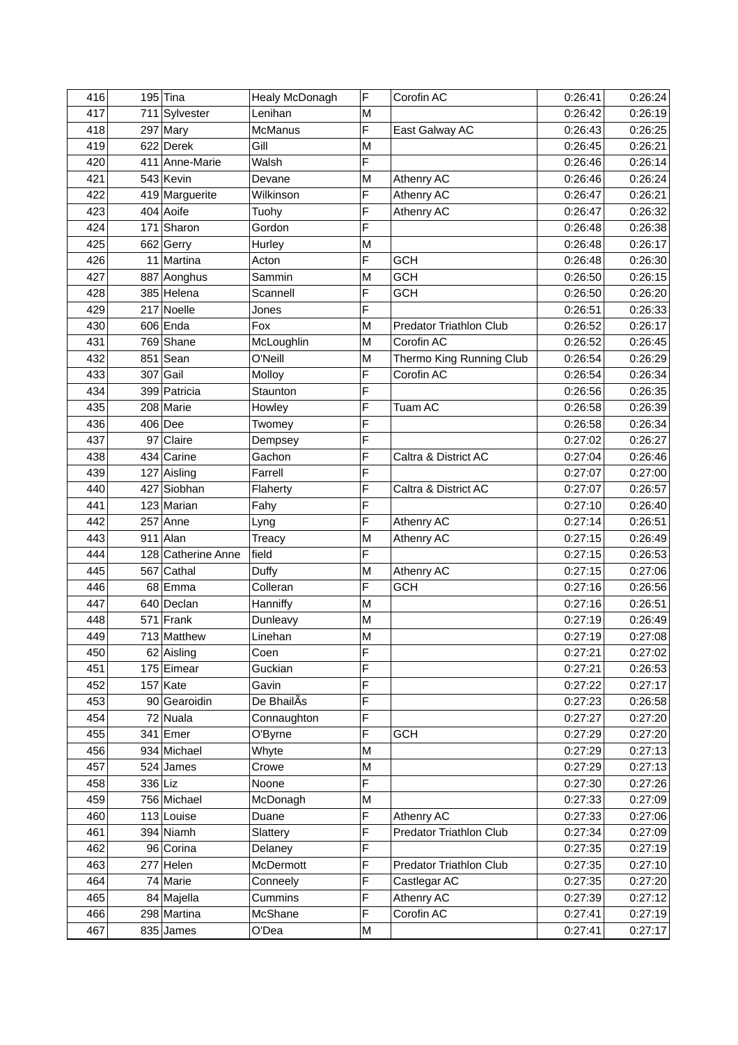| 416 |         | $195$ Tina         | Healy McDonagh | F | Corofin AC                     | 0:26:41 | 0:26:24 |
|-----|---------|--------------------|----------------|---|--------------------------------|---------|---------|
| 417 |         | 711 Sylvester      | Lenihan        | М |                                | 0:26:42 | 0:26:19 |
| 418 |         | $297$ Mary         | <b>McManus</b> | F | East Galway AC                 | 0:26:43 | 0:26:25 |
| 419 |         | 622 Derek          | Gill           | M |                                | 0:26:45 | 0:26:21 |
| 420 |         | 411 Anne-Marie     | Walsh          | F |                                | 0:26:46 | 0:26:14 |
| 421 |         | 543 Kevin          | Devane         | M | Athenry AC                     | 0:26:46 | 0:26:24 |
| 422 |         | 419 Marguerite     | Wilkinson      | F | Athenry AC                     | 0:26:47 | 0:26:21 |
| 423 |         | $404$ Aoife        | Tuohy          | F | Athenry AC                     | 0:26:47 | 0:26:32 |
| 424 |         | 171 Sharon         | Gordon         | F |                                | 0:26:48 | 0:26:38 |
| 425 |         | 662 Gerry          | Hurley         | M |                                | 0:26:48 | 0:26:17 |
| 426 |         | 11 Martina         | Acton          | F | <b>GCH</b>                     | 0:26:48 | 0:26:30 |
| 427 |         | 887 Aonghus        | Sammin         | M | <b>GCH</b>                     | 0:26:50 | 0:26:15 |
| 428 |         | 385 Helena         | Scannell       | F | <b>GCH</b>                     | 0:26:50 | 0:26:20 |
| 429 |         | 217 Noelle         | Jones          | F |                                | 0:26:51 | 0:26:33 |
| 430 |         | $606$ Enda         | Fox            | М | <b>Predator Triathlon Club</b> | 0:26:52 | 0:26:17 |
| 431 |         | 769 Shane          | McLoughlin     | M | Corofin AC                     | 0:26:52 | 0:26:45 |
| 432 |         | $851$ Sean         | O'Neill        | M | Thermo King Running Club       | 0:26:54 | 0:26:29 |
| 433 |         | $307$ Gail         | Molloy         | F | Corofin AC                     | 0:26:54 | 0:26:34 |
| 434 |         | 399 Patricia       | Staunton       | F |                                | 0:26:56 | 0:26:35 |
| 435 |         | 208 Marie          | Howley         | F | Tuam AC                        | 0:26:58 | 0:26:39 |
| 436 |         | $406$ Dee          | Twomey         | F |                                | 0:26:58 | 0:26:34 |
| 437 |         | 97 Claire          | Dempsey        | F |                                | 0:27:02 | 0:26:27 |
| 438 |         | 434 Carine         | Gachon         | F | Caltra & District AC           | 0:27:04 | 0:26:46 |
| 439 |         | 127 Aisling        | Farrell        | F |                                | 0:27:07 | 0:27:00 |
| 440 |         | 427 Siobhan        | Flaherty       | F | Caltra & District AC           | 0:27:07 | 0:26:57 |
| 441 |         | 123 Marian         | Fahy           | F |                                | 0:27:10 | 0:26:40 |
| 442 |         | $257$ Anne         | Lyng           | F | Athenry AC                     | 0:27:14 | 0:26:51 |
| 443 |         | $911$ Alan         | Treacy         | M | Athenry AC                     | 0:27:15 | 0:26:49 |
| 444 |         | 128 Catherine Anne | field          | F |                                | 0:27:15 | 0:26:53 |
| 445 |         | 567 Cathal         | Duffy          | М | Athenry AC                     | 0:27:15 | 0:27:06 |
| 446 |         | 68 Emma            | Colleran       | F | <b>GCH</b>                     | 0:27:16 | 0:26:56 |
| 447 |         | 640 Declan         | Hanniffy       | M |                                | 0:27:16 | 0:26:51 |
| 448 |         | $571$ Frank        | Dunleavy       | M |                                | 0:27:19 | 0:26:49 |
| 449 |         | 713 Matthew        | Linehan        | M |                                | 0:27:19 | 0:27:08 |
| 450 |         | 62 Aisling         | Coen           | F |                                | 0:27:21 | 0:27:02 |
| 451 |         | 175 Eimear         | Guckian        | F |                                | 0:27:21 | 0:26:53 |
| 452 |         | $157$ Kate         | Gavin          | F |                                | 0:27:22 | 0:27:17 |
| 453 |         | 90 Gearoidin       | De BhailAs     | F |                                | 0:27:23 | 0:26:58 |
| 454 |         | $72$ Nuala         | Connaughton    | F |                                | 0:27:27 | 0:27:20 |
| 455 |         | $341$ Emer         | O'Byrne        | F | <b>GCH</b>                     | 0:27:29 | 0:27:20 |
| 456 |         | 934 Michael        | Whyte          | M |                                | 0:27:29 | 0:27:13 |
| 457 |         | $524$ James        | Crowe          | M |                                | 0:27:29 | 0:27:13 |
| 458 | 336 Liz |                    | Noone          | F |                                | 0:27:30 | 0:27:26 |
| 459 |         | 756 Michael        | McDonagh       | M |                                | 0:27:33 | 0:27:09 |
| 460 |         | 113 Louise         | Duane          | F | Athenry AC                     | 0:27:33 | 0:27:06 |
| 461 |         | 394 Niamh          | Slattery       | F | Predator Triathlon Club        | 0:27:34 | 0:27:09 |
| 462 |         | 96 Corina          | Delaney        | F |                                | 0:27:35 | 0:27:19 |
| 463 |         | $277$ Helen        | McDermott      | F | <b>Predator Triathlon Club</b> | 0:27:35 | 0:27:10 |
| 464 |         | 74 Marie           | Conneely       | F | Castlegar AC                   | 0:27:35 | 0:27:20 |
| 465 |         | 84 Majella         | Cummins        | F | Athenry AC                     | 0:27:39 | 0:27:12 |
| 466 |         | 298 Martina        | McShane        | F | Corofin AC                     | 0:27:41 | 0:27:19 |
| 467 |         | $835$ James        | O'Dea          | M |                                | 0:27:41 | 0:27:17 |
|     |         |                    |                |   |                                |         |         |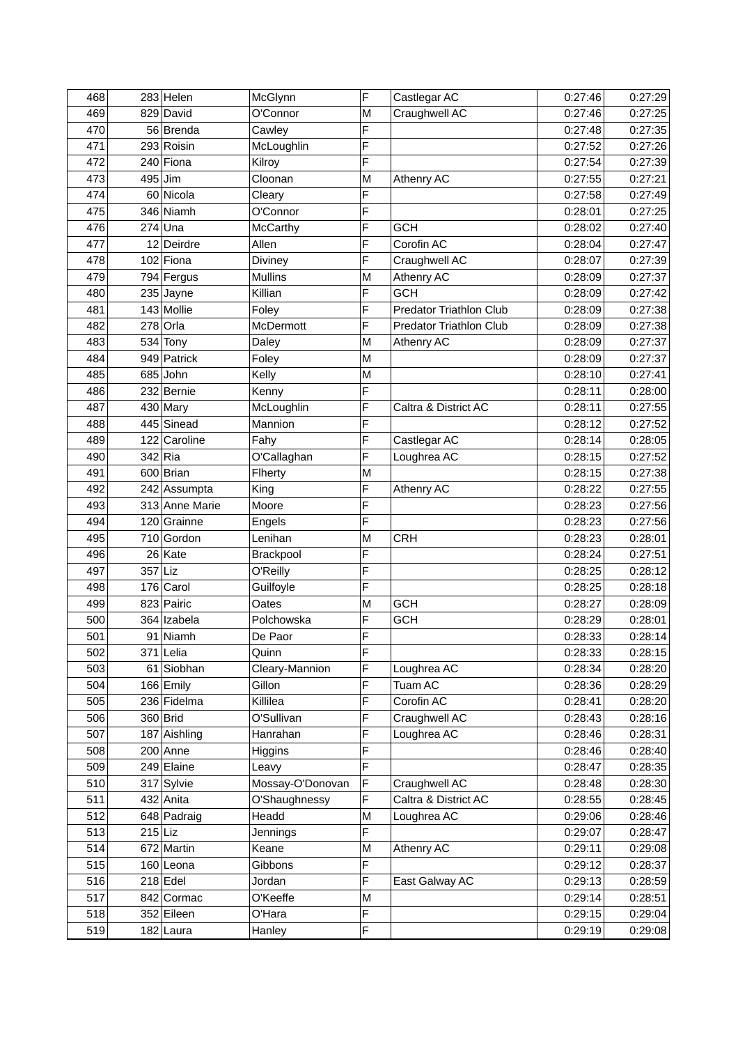| 468 |           | $283$ Helen    | McGlynn          | F | Castlegar AC                   | 0:27:46 | 0:27:29 |
|-----|-----------|----------------|------------------|---|--------------------------------|---------|---------|
| 469 |           | 829 David      | O'Connor         | M | Craughwell AC                  | 0:27:46 | 0:27:25 |
| 470 |           | 56 Brenda      | Cawley           | F |                                | 0:27:48 | 0:27:35 |
| 471 |           | 293 Roisin     | McLoughlin       | F |                                | 0:27:52 | 0:27:26 |
| 472 |           | 240 Fiona      | Kilroy           | F |                                | 0:27:54 | 0:27:39 |
| 473 |           | $495$ Jim      | Cloonan          | M | Athenry AC                     | 0:27:55 | 0:27:21 |
| 474 |           | 60 Nicola      | Cleary           | F |                                | 0:27:58 | 0:27:49 |
| 475 |           | 346 Niamh      | O'Connor         | F |                                | 0:28:01 | 0:27:25 |
| 476 |           | $274$ Una      | <b>McCarthy</b>  | F | <b>GCH</b>                     | 0:28:02 | 0:27:40 |
| 477 |           | 12 Deirdre     | Allen            | F | Corofin AC                     | 0:28:04 | 0:27:47 |
| 478 |           | $102$ Fiona    | Diviney          | F | Craughwell AC                  | 0:28:07 | 0:27:39 |
| 479 |           | 794 Fergus     | <b>Mullins</b>   | M | Athenry AC                     | 0:28:09 | 0:27:37 |
| 480 |           | $235$ Jayne    | Killian          | F | <b>GCH</b>                     | 0:28:09 | 0:27:42 |
| 481 |           | 143 Mollie     | Foley            | F | <b>Predator Triathlon Club</b> | 0:28:09 | 0:27:38 |
| 482 |           | $278$ Orla     | McDermott        | F | Predator Triathlon Club        | 0:28:09 | 0:27:38 |
| 483 |           | $534$ Tony     | Daley            | M | Athenry AC                     | 0:28:09 | 0:27:37 |
| 484 |           | 949 Patrick    | Foley            | M |                                | 0:28:09 | 0:27:37 |
| 485 |           | $685$ John     | Kelly            | M |                                | 0:28:10 | 0:27:41 |
| 486 |           | 232 Bernie     | Kenny            | F |                                | 0:28:11 | 0:28:00 |
| 487 |           | $430$ Mary     | McLoughlin       | F | Caltra & District AC           | 0:28:11 | 0:27:55 |
| 488 |           | 445 Sinead     | Mannion          | F |                                | 0:28:12 | 0:27:52 |
| 489 |           | 122 Caroline   | Fahy             | F | Castlegar AC                   | 0:28:14 | 0:28:05 |
| 490 |           | $342$ Ria      | O'Callaghan      | F | Loughrea AC                    | 0:28:15 | 0:27:52 |
| 491 |           | 600 Brian      | Flherty          | M |                                | 0:28:15 | 0:27:38 |
| 492 |           | 242 Assumpta   | King             | F | <b>Athenry AC</b>              | 0:28:22 | 0:27:55 |
| 493 |           | 313 Anne Marie | Moore            | F |                                | 0:28:23 | 0:27:56 |
| 494 |           | 120 Grainne    | Engels           | F |                                | 0:28:23 | 0:27:56 |
| 495 |           | 710 Gordon     | Lenihan          | M | <b>CRH</b>                     | 0:28:23 | 0:28:01 |
| 496 |           | $26$ Kate      | Brackpool        | F |                                | 0:28:24 | 0:27:51 |
| 497 | $357$ Liz |                | O'Reilly         | F |                                | 0:28:25 | 0:28:12 |
| 498 |           | $176$ Carol    | Guilfoyle        | F |                                | 0:28:25 | 0:28:18 |
| 499 |           | 823 Pairic     | Oates            | M | <b>GCH</b>                     | 0:28:27 | 0:28:09 |
| 500 |           | 364 Izabela    | Polchowska       | F | <b>GCH</b>                     | 0:28:29 | 0:28:01 |
| 501 |           | 91 Niamh       | De Paor          | F |                                | 0:28:33 | 0:28:14 |
| 502 |           | $371$ Lelia    | Quinn            | F |                                | 0:28:33 | 0:28:15 |
| 503 |           | 61 Siobhan     | Cleary-Mannion   | F | Loughrea AC                    | 0:28:34 | 0:28:20 |
| 504 |           | 166 Emily      | Gillon           | F | Tuam AC                        | 0:28:36 | 0:28:29 |
| 505 |           | 236 Fidelma    | Killilea         | F | Corofin AC                     | 0:28:41 | 0:28:20 |
| 506 |           | 360 Brid       | O'Sullivan       | F | Craughwell AC                  | 0:28:43 | 0:28:16 |
| 507 |           | 187 Aishling   | Hanrahan         | F | Loughrea AC                    | 0:28:46 | 0:28:31 |
| 508 |           | $200$ Anne     | Higgins          | F |                                | 0:28:46 | 0:28:40 |
| 509 |           | 249 Elaine     | Leavy            | F |                                | 0:28:47 | 0:28:35 |
| 510 |           | 317 Sylvie     | Mossay-O'Donovan | F | Craughwell AC                  | 0:28:48 | 0:28:30 |
| 511 |           | 432 Anita      | O'Shaughnessy    | F | Caltra & District AC           | 0:28:55 | 0:28:45 |
| 512 |           | 648 Padraig    | Headd            | M | Loughrea AC                    | 0:29:06 | 0:28:46 |
| 513 | $215$ Liz |                | <b>Jennings</b>  | F |                                | 0:29:07 | 0:28:47 |
| 514 |           | 672 Martin     | Keane            | M | Athenry AC                     | 0:29:11 | 0:29:08 |
| 515 |           | $160$  Leona   | Gibbons          | F |                                | 0:29:12 | 0:28:37 |
| 516 |           | $218$ Edel     | Jordan           | F | East Galway AC                 | 0:29:13 | 0:28:59 |
| 517 |           | 842 Cormac     | O'Keeffe         | M |                                | 0:29:14 | 0:28:51 |
| 518 |           | 352 Eileen     | O'Hara           | F |                                | 0:29:15 | 0:29:04 |
| 519 |           | $182$ Laura    | Hanley           | F |                                | 0:29:19 | 0:29:08 |
|     |           |                |                  |   |                                |         |         |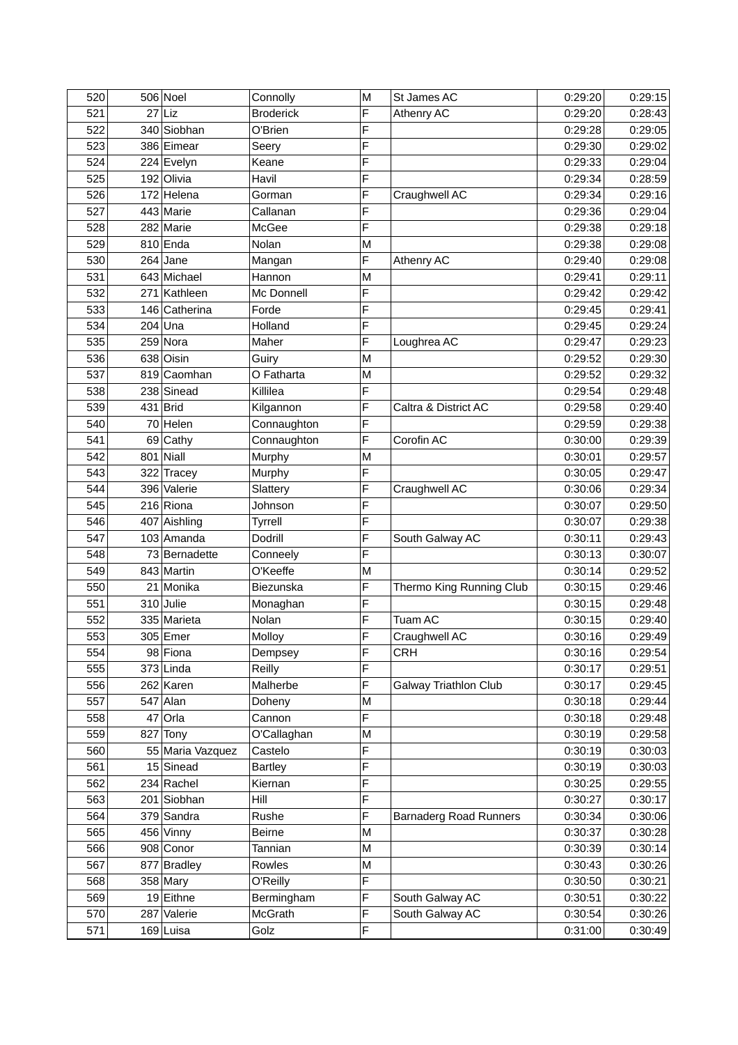| 520 |     | $506$ Noel       | Connolly         | M | St James AC                   | 0:29:20 | 0:29:15 |
|-----|-----|------------------|------------------|---|-------------------------------|---------|---------|
| 521 | 27  | Liz              | <b>Broderick</b> | F | Athenry AC                    | 0:29:20 | 0:28:43 |
| 522 |     | 340 Siobhan      | O'Brien          | F |                               | 0:29:28 | 0:29:05 |
| 523 |     | 386 Eimear       | Seery            | F |                               | 0:29:30 | 0:29:02 |
| 524 |     | 224 Evelyn       | Keane            | F |                               | 0:29:33 | 0:29:04 |
| 525 |     | 192 Olivia       | Havil            | F |                               | 0:29:34 | 0:28:59 |
| 526 |     | 172 Helena       | Gorman           | F | Craughwell AC                 | 0:29:34 | 0:29:16 |
| 527 |     | 443 Marie        | Callanan         | F |                               | 0:29:36 | 0:29:04 |
| 528 |     | 282 Marie        | McGee            | F |                               | 0:29:38 | 0:29:18 |
| 529 |     | $810$ Enda       | Nolan            | M |                               | 0:29:38 | 0:29:08 |
| 530 |     | $264$ Jane       | Mangan           | F | Athenry AC                    | 0:29:40 | 0:29:08 |
| 531 |     | 643 Michael      | Hannon           | M |                               | 0:29:41 | 0:29:11 |
| 532 |     | 271 Kathleen     | Mc Donnell       | F |                               | 0:29:42 | 0:29:42 |
| 533 |     | 146 Catherina    | Forde            | F |                               | 0:29:45 | 0:29:41 |
| 534 |     | $204$ Una        | Holland          | F |                               | 0:29:45 | 0:29:24 |
| 535 |     | $259$ Nora       | Maher            | F | Loughrea AC                   | 0:29:47 | 0:29:23 |
| 536 |     | 638 Oisin        | Guiry            | M |                               | 0:29:52 | 0:29:30 |
| 537 |     | 819 Caomhan      | O Fatharta       | M |                               | 0:29:52 | 0:29:32 |
| 538 |     | 238 Sinead       | Killilea         | F |                               | 0:29:54 | 0:29:48 |
| 539 |     | 431 Brid         | Kilgannon        | F | Caltra & District AC          | 0:29:58 | 0:29:40 |
| 540 |     | 70 Helen         | Connaughton      | F |                               | 0:29:59 | 0:29:38 |
| 541 |     | $69$ Cathy       | Connaughton      | F | Corofin AC                    | 0:30:00 | 0:29:39 |
| 542 |     | $801$ Niall      | Murphy           | M |                               | 0:30:01 | 0:29:57 |
| 543 |     | 322 Tracey       | Murphy           | F |                               | 0:30:05 | 0:29:47 |
| 544 |     | 396 Valerie      | Slattery         | F | Craughwell AC                 | 0:30:06 | 0:29:34 |
| 545 |     | 216 Riona        | Johnson          | F |                               | 0:30:07 | 0:29:50 |
| 546 |     | 407 Aishling     | Tyrrell          | F |                               | 0:30:07 | 0:29:38 |
| 547 |     | 103 Amanda       | Dodrill          | F | South Galway AC               | 0:30:11 | 0:29:43 |
| 548 |     | 73 Bernadette    | Conneely         | F |                               | 0:30:13 | 0:30:07 |
| 549 |     | 843 Martin       | O'Keeffe         | M |                               | 0:30:14 | 0:29:52 |
| 550 |     | 21 Monika        | Biezunska        | F | Thermo King Running Club      | 0:30:15 | 0:29:46 |
| 551 |     | $310$ Julie      | Monaghan         | F |                               | 0:30:15 | 0:29:48 |
| 552 |     | 335 Marieta      | Nolan            | F | Tuam AC                       | 0:30:15 | 0:29:40 |
| 553 |     | 305 Emer         | Molloy           | F | Craughwell AC                 | 0:30:16 | 0:29:49 |
| 554 |     | 98 Fiona         | Dempsey          | F | <b>CRH</b>                    | 0:30:16 | 0:29:54 |
| 555 |     | $373$ Linda      | Reilly           | F |                               | 0:30:17 | 0:29:51 |
| 556 |     | $262$ Karen      | Malherbe         | F | <b>Galway Triathlon Club</b>  | 0:30:17 | 0:29:45 |
| 557 |     | $547$ Alan       | Doheny           | M |                               | 0:30:18 | 0:29:44 |
| 558 | 47  | Orla             | Cannon           | F |                               | 0:30:18 | 0:29:48 |
| 559 | 827 | Tony             | O'Callaghan      | M |                               | 0:30:19 | 0:29:58 |
| 560 |     | 55 Maria Vazquez | Castelo          | F |                               | 0:30:19 | 0:30:03 |
| 561 |     | $15$ Sinead      | <b>Bartley</b>   | F |                               | 0:30:19 | 0:30:03 |
| 562 |     | $234$ Rachel     | Kiernan          | F |                               | 0:30:25 | 0:29:55 |
| 563 |     | 201 Siobhan      | Hill             | F |                               | 0:30:27 | 0:30:17 |
| 564 |     | 379 Sandra       | Rushe            | F | <b>Barnaderg Road Runners</b> | 0:30:34 | 0:30:06 |
| 565 |     | 456 Vinny        | <b>Beirne</b>    | M |                               | 0:30:37 | 0:30:28 |
| 566 |     | 908 Conor        | Tannian          | M |                               | 0:30:39 | 0:30:14 |
| 567 |     | 877 Bradley      | Rowles           | M |                               | 0:30:43 | 0:30:26 |
| 568 |     | $358$ Mary       | O'Reilly         | F |                               | 0:30:50 | 0:30:21 |
| 569 |     | 19 Eithne        | Bermingham       | F | South Galway AC               | 0:30:51 | 0:30:22 |
| 570 | 287 | Valerie          | McGrath          | F | South Galway AC               | 0:30:54 | 0:30:26 |
| 571 |     | $169$ Luisa      | Golz             | F |                               | 0:31:00 | 0:30:49 |
|     |     |                  |                  |   |                               |         |         |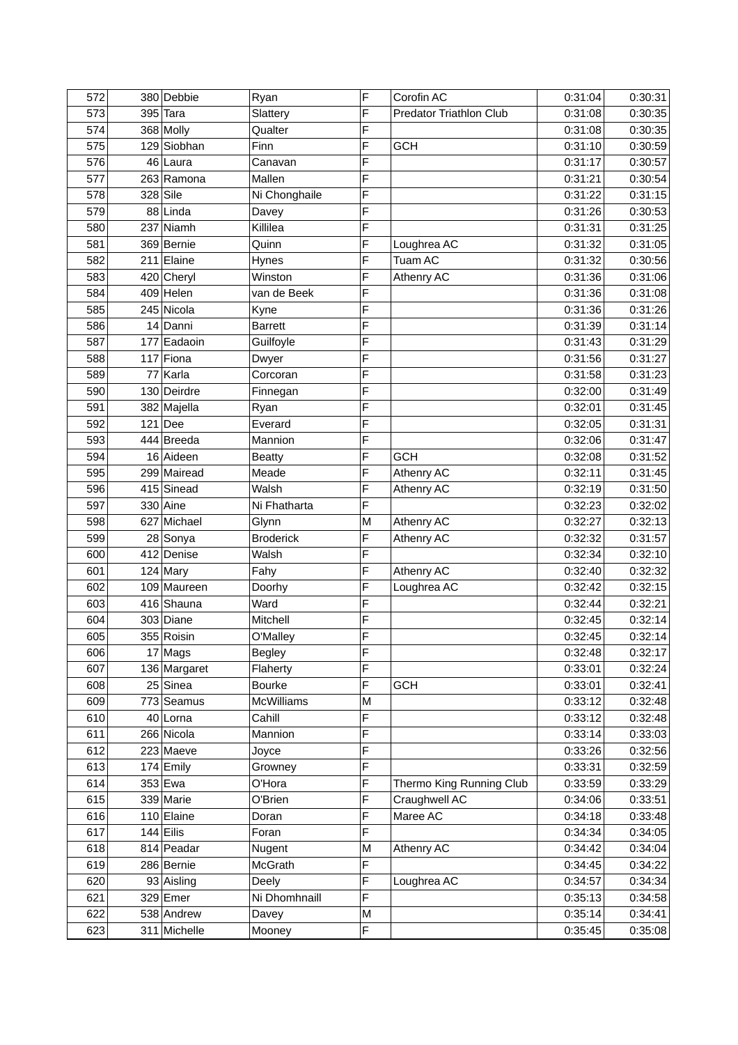| 572 |    | 380 Debbie   | Ryan              | F | Corofin AC                     | 0:31:04 | 0:30:31 |
|-----|----|--------------|-------------------|---|--------------------------------|---------|---------|
| 573 |    | $395$ Tara   | Slattery          | F | <b>Predator Triathlon Club</b> | 0:31:08 | 0:30:35 |
| 574 |    | 368 Molly    | Qualter           | F |                                | 0:31:08 | 0:30:35 |
| 575 |    | 129 Siobhan  | Finn              | F | <b>GCH</b>                     | 0:31:10 | 0:30:59 |
| 576 |    | 46 Laura     | Canavan           | F |                                | 0:31:17 | 0:30:57 |
| 577 |    | 263 Ramona   | Mallen            | F |                                | 0:31:21 | 0:30:54 |
| 578 |    | $328$ Sile   | Ni Chonghaile     | F |                                | 0:31:22 | 0:31:15 |
| 579 |    | 88 Linda     | Davey             | F |                                | 0:31:26 | 0:30:53 |
| 580 |    | 237 Niamh    | Killilea          | F |                                | 0:31:31 | 0:31:25 |
| 581 |    | 369 Bernie   | Quinn             | F | Loughrea AC                    | 0:31:32 | 0:31:05 |
| 582 |    | $211$ Elaine | Hynes             | F | Tuam AC                        | 0:31:32 | 0:30:56 |
| 583 |    | 420 Cheryl   | Winston           | F | Athenry AC                     | 0:31:36 | 0:31:06 |
| 584 |    | $409$ Helen  | van de Beek       | F |                                | 0:31:36 | 0:31:08 |
| 585 |    | 245 Nicola   | Kyne              | F |                                | 0:31:36 | 0:31:26 |
| 586 |    | 14 Danni     | <b>Barrett</b>    | F |                                | 0:31:39 | 0:31:14 |
| 587 |    | 177 Eadaoin  | Guilfoyle         | F |                                | 0:31:43 | 0:31:29 |
| 588 |    | $117$ Fiona  | Dwyer             | F |                                | 0:31:56 | 0:31:27 |
| 589 | 77 | Karla        | Corcoran          | F |                                | 0:31:58 | 0:31:23 |
| 590 |    | 130 Deirdre  | Finnegan          | F |                                | 0:32:00 | 0:31:49 |
| 591 |    | 382 Majella  | Ryan              | F |                                | 0:32:01 | 0:31:45 |
| 592 |    | $121$ Dee    | Everard           | F |                                | 0:32:05 | 0:31:31 |
| 593 |    | 444 Breeda   | Mannion           | F |                                | 0:32:06 | 0:31:47 |
| 594 |    | 16 Aideen    | <b>Beatty</b>     | F | <b>GCH</b>                     | 0:32:08 | 0:31:52 |
| 595 |    | 299 Mairead  | Meade             | F | Athenry AC                     | 0:32:11 | 0:31:45 |
| 596 |    | 415 Sinead   | Walsh             | F | Athenry AC                     | 0:32:19 | 0:31:50 |
| 597 |    | $330$ Aine   | Ni Fhatharta      | F |                                | 0:32:23 | 0:32:02 |
| 598 |    | 627 Michael  | Glynn             | M | Athenry AC                     | 0:32:27 | 0:32:13 |
| 599 |    | 28 Sonya     | <b>Broderick</b>  | F | Athenry AC                     | 0:32:32 | 0:31:57 |
| 600 |    | 412 Denise   | Walsh             | F |                                | 0:32:34 | 0:32:10 |
| 601 |    | $124$ Mary   | Fahy              | F | Athenry AC                     | 0:32:40 | 0:32:32 |
| 602 |    | 109 Maureen  | Doorhy            | F | Loughrea AC                    | 0:32:42 | 0:32:15 |
| 603 |    | 416 Shauna   | Ward              | F |                                | 0:32:44 | 0:32:21 |
| 604 |    | 303 Diane    | Mitchell          | F |                                | 0:32:45 | 0:32:14 |
| 605 |    | 355 Roisin   | O'Malley          | F |                                | 0:32:45 | 0:32:14 |
| 606 |    | $17$ Mags    | <b>Begley</b>     | F |                                | 0:32:48 | 0:32:17 |
| 607 |    | 136 Margaret | Flaherty          | F |                                | 0:33:01 | 0:32:24 |
| 608 |    | 25 Sinea     | <b>Bourke</b>     | F | <b>GCH</b>                     | 0:33:01 | 0:32:41 |
| 609 |    | 773 Seamus   | <b>McWilliams</b> | M |                                | 0:33:12 | 0:32:48 |
| 610 |    | 40 Lorna     | Cahill            | F |                                | 0:33:12 | 0:32:48 |
| 611 |    | 266 Nicola   | Mannion           | F |                                | 0:33:14 | 0:33:03 |
| 612 |    | $223$ Maeve  | Joyce             | F |                                | 0:33:26 | 0:32:56 |
| 613 |    | 174 Emily    | Growney           | F |                                | 0:33:31 | 0:32:59 |
| 614 |    | 353 Ewa      | O'Hora            | F | Thermo King Running Club       | 0:33:59 | 0:33:29 |
| 615 |    | 339 Marie    | O'Brien           | F | Craughwell AC                  | 0:34:06 | 0:33:51 |
| 616 |    | 110 Elaine   | Doran             | F | Maree AC                       | 0:34:18 | 0:33:48 |
| 617 |    | $144$ Eilis  | Foran             | F |                                | 0:34:34 | 0:34:05 |
| 618 |    | 814 Peadar   | Nugent            | M | Athenry AC                     | 0:34:42 | 0:34:04 |
| 619 |    | 286 Bernie   | McGrath           | F |                                | 0:34:45 | 0:34:22 |
| 620 |    | 93 Aisling   | Deely             | F | Loughrea AC                    | 0:34:57 | 0:34:34 |
| 621 |    | $329$ Emer   | Ni Dhomhnaill     | F |                                | 0:35:13 | 0:34:58 |
| 622 |    | 538 Andrew   | Davey             | Μ |                                | 0:35:14 | 0:34:41 |
| 623 |    | 311 Michelle | Mooney            | F |                                | 0:35:45 | 0:35:08 |
|     |    |              |                   |   |                                |         |         |